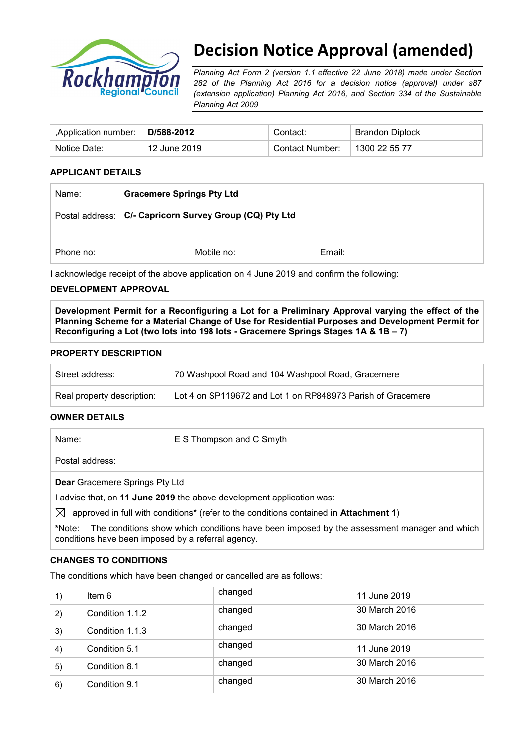

# **Decision Notice Approval (amended)**

*Planning Act Form 2 (version 1.1 effective 22 June 2018) made under Section 282 of the Planning Act 2016 for a decision notice (approval) under s87 (extension application) Planning Act 2016, and Section 334 of the Sustainable Planning Act 2009*

| Application number: | D/588-2012   | Contact:        | Brandon Diplock |
|---------------------|--------------|-----------------|-----------------|
| Notice Date:        | 12 June 2019 | Contact Number: | 1300 22 55 77   |

#### **APPLICANT DETAILS**

| Name:     | <b>Gracemere Springs Pty Ltd</b>                        |        |  |
|-----------|---------------------------------------------------------|--------|--|
|           | Postal address: C/- Capricorn Survey Group (CQ) Pty Ltd |        |  |
| Phone no: | Mobile no:                                              | Email: |  |

I acknowledge receipt of the above application on 4 June 2019 and confirm the following:

#### **DEVELOPMENT APPROVAL**

**Development Permit for a Reconfiguring a Lot for a Preliminary Approval varying the effect of the Planning Scheme for a Material Change of Use for Residential Purposes and Development Permit for Reconfiguring a Lot (two lots into 198 lots - Gracemere Springs Stages 1A & 1B – 7)**

#### **PROPERTY DESCRIPTION**

| Street address:            | 70 Washpool Road and 104 Washpool Road, Gracemere           |
|----------------------------|-------------------------------------------------------------|
| Real property description: | Lot 4 on SP119672 and Lot 1 on RP848973 Parish of Gracemere |

#### **OWNER DETAILS**

Name: E S Thompson and C Smyth

Postal address:

**Dear** Gracemere Springs Pty Ltd

I advise that, on **11 June 2019** the above development application was:

 $\boxtimes$  approved in full with conditions<sup>\*</sup> (refer to the conditions contained in **Attachment 1**)

**\***Note:The conditions show which conditions have been imposed by the assessment manager and which conditions have been imposed by a referral agency.

#### **CHANGES TO CONDITIONS**

The conditions which have been changed or cancelled are as follows:

| 1) | Item 6          | changed | 11 June 2019  |
|----|-----------------|---------|---------------|
| 2) | Condition 1.1.2 | changed | 30 March 2016 |
| 3) | Condition 1.1.3 | changed | 30 March 2016 |
| 4) | Condition 5.1   | changed | 11 June 2019  |
| 5) | Condition 8.1   | changed | 30 March 2016 |
| 6) | Condition 9.1   | changed | 30 March 2016 |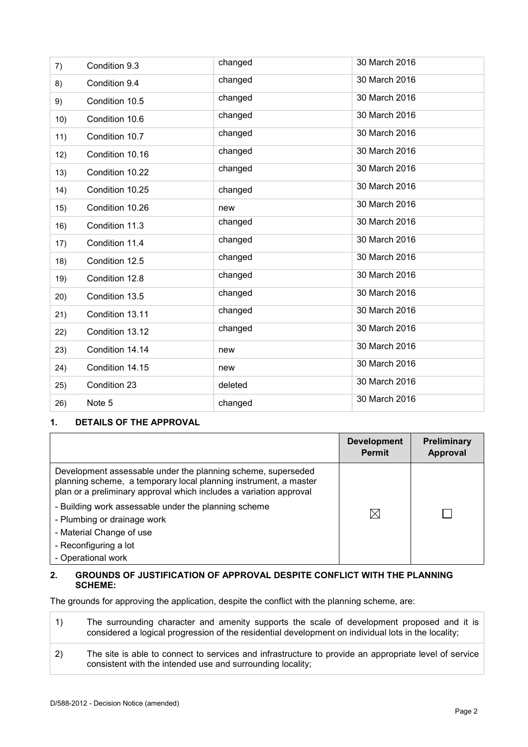|     |                 | changed | 30 March 2016 |
|-----|-----------------|---------|---------------|
| 7)  | Condition 9.3   |         |               |
| 8)  | Condition 9.4   | changed | 30 March 2016 |
| 9)  | Condition 10.5  | changed | 30 March 2016 |
| 10) | Condition 10.6  | changed | 30 March 2016 |
| 11) | Condition 10.7  | changed | 30 March 2016 |
| 12) | Condition 10.16 | changed | 30 March 2016 |
| 13) | Condition 10.22 | changed | 30 March 2016 |
| 14) | Condition 10.25 | changed | 30 March 2016 |
| 15) | Condition 10.26 | new     | 30 March 2016 |
| 16) | Condition 11.3  | changed | 30 March 2016 |
| 17) | Condition 11.4  | changed | 30 March 2016 |
| 18) | Condition 12.5  | changed | 30 March 2016 |
| 19) | Condition 12.8  | changed | 30 March 2016 |
| 20) | Condition 13.5  | changed | 30 March 2016 |
| 21) | Condition 13.11 | changed | 30 March 2016 |
| 22) | Condition 13.12 | changed | 30 March 2016 |
| 23) | Condition 14.14 | new     | 30 March 2016 |
| 24) | Condition 14.15 | new     | 30 March 2016 |
| 25) | Condition 23    | deleted | 30 March 2016 |
| 26) | Note 5          | changed | 30 March 2016 |
|     |                 |         |               |

#### **1. DETAILS OF THE APPROVAL**

|                                                                                                                                                                                                        | <b>Development</b><br><b>Permit</b> | <b>Preliminary</b><br><b>Approval</b> |
|--------------------------------------------------------------------------------------------------------------------------------------------------------------------------------------------------------|-------------------------------------|---------------------------------------|
| Development assessable under the planning scheme, superseded<br>planning scheme, a temporary local planning instrument, a master<br>plan or a preliminary approval which includes a variation approval |                                     |                                       |
| - Building work assessable under the planning scheme<br>- Plumbing or drainage work                                                                                                                    | $\boxtimes$                         |                                       |
| - Material Change of use<br>- Reconfiguring a lot<br>- Operational work                                                                                                                                |                                     |                                       |

#### **2. GROUNDS OF JUSTIFICATION OF APPROVAL DESPITE CONFLICT WITH THE PLANNING SCHEME:**

The grounds for approving the application, despite the conflict with the planning scheme, are:

| 1) | The surrounding character and amenity supports the scale of development proposed and it is<br>considered a logical progression of the residential development on individual lots in the locality; |
|----|---------------------------------------------------------------------------------------------------------------------------------------------------------------------------------------------------|
| 2) | The site is able to connect to services and infrastructure to provide an appropriate level of service<br>consistent with the intended use and surrounding locality;                               |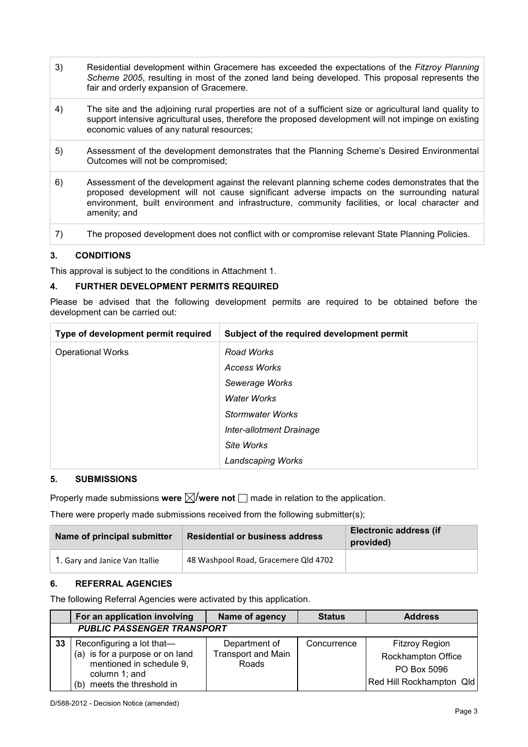- 3) Residential development within Gracemere has exceeded the expectations of the *Fitzroy Planning Scheme 2005*, resulting in most of the zoned land being developed. This proposal represents the fair and orderly expansion of Gracemere.
- 4) The site and the adjoining rural properties are not of a sufficient size or agricultural land quality to support intensive agricultural uses, therefore the proposed development will not impinge on existing economic values of any natural resources;
- 5) Assessment of the development demonstrates that the Planning Scheme's Desired Environmental Outcomes will not be compromised;
- 6) Assessment of the development against the relevant planning scheme codes demonstrates that the proposed development will not cause significant adverse impacts on the surrounding natural environment, built environment and infrastructure, community facilities, or local character and amenity; and
- 7) The proposed development does not conflict with or compromise relevant State Planning Policies.

#### **3. CONDITIONS**

This approval is subject to the conditions in Attachment 1.

#### **4. FURTHER DEVELOPMENT PERMITS REQUIRED**

Please be advised that the following development permits are required to be obtained before the development can be carried out:

| Type of development permit required | Subject of the required development permit |
|-------------------------------------|--------------------------------------------|
| <b>Operational Works</b>            | Road Works                                 |
|                                     | Access Works                               |
|                                     | Sewerage Works                             |
|                                     | <b>Water Works</b>                         |
|                                     | <b>Stormwater Works</b>                    |
|                                     | Inter-allotment Drainage                   |
|                                     | Site Works                                 |
|                                     | <b>Landscaping Works</b>                   |

#### **5. SUBMISSIONS**

Properly made submissions were  $\boxtimes$ /were not  $\Box$  made in relation to the application.

There were properly made submissions received from the following submitter(s);

| Name of principal submitter    | <b>Residential or business address</b> | <b>Electronic address (if</b><br>provided) |
|--------------------------------|----------------------------------------|--------------------------------------------|
| 1. Gary and Janice Van Itallie | 48 Washpool Road, Gracemere Qld 4702   |                                            |

#### **6. REFERRAL AGENCIES**

The following Referral Agencies were activated by this application.

|    | For an application involving                                                                                                               | Name of agency                                      | <b>Status</b> | <b>Address</b>                                                                         |
|----|--------------------------------------------------------------------------------------------------------------------------------------------|-----------------------------------------------------|---------------|----------------------------------------------------------------------------------------|
|    | <b>PUBLIC PASSENGER TRANSPORT</b>                                                                                                          |                                                     |               |                                                                                        |
| 33 | Reconfiguring a lot that-<br>(a) is for a purpose or on land<br>mentioned in schedule 9,<br>column 1; and<br>meets the threshold in<br>(b) | Department of<br><b>Transport and Main</b><br>Roads | Concurrence   | <b>Fitzroy Region</b><br>Rockhampton Office<br>PO Box 5096<br>Red Hill Rockhampton Qld |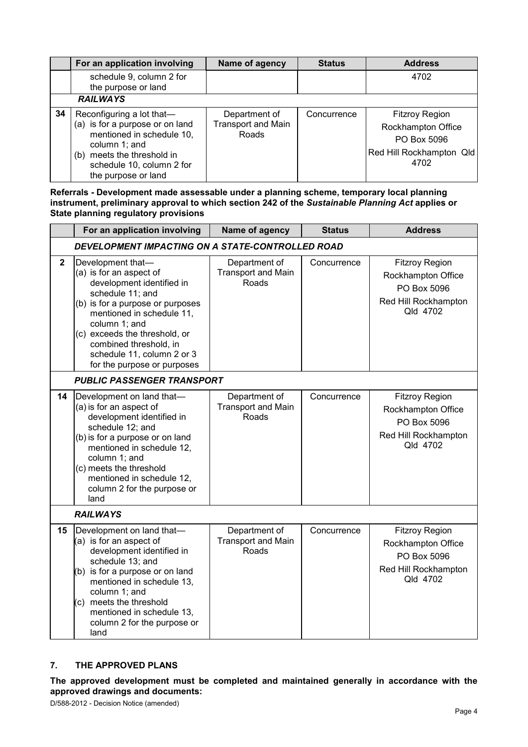|    | For an application involving                                                                                                                                                                    | Name of agency                                      | <b>Status</b> | <b>Address</b>                                                                                 |
|----|-------------------------------------------------------------------------------------------------------------------------------------------------------------------------------------------------|-----------------------------------------------------|---------------|------------------------------------------------------------------------------------------------|
|    | schedule 9, column 2 for<br>the purpose or land                                                                                                                                                 |                                                     |               | 4702                                                                                           |
|    | <b>RAILWAYS</b>                                                                                                                                                                                 |                                                     |               |                                                                                                |
| 34 | Reconfiguring a lot that-<br>(a) is for a purpose or on land<br>mentioned in schedule 10,<br>column 1; and<br>meets the threshold in<br>(b)<br>schedule 10, column 2 for<br>the purpose or land | Department of<br><b>Transport and Main</b><br>Roads | Concurrence   | <b>Fitzroy Region</b><br>Rockhampton Office<br>PO Box 5096<br>Red Hill Rockhampton Qld<br>4702 |

**Referrals** *-* **Development made assessable under a planning scheme, temporary local planning instrument, preliminary approval to which section 242 of the** *Sustainable Planning Act* **applies or State planning regulatory provisions**

|                | For an application involving                                                                                                                                                                                                                                                                            | Name of agency                                      | <b>Status</b> | <b>Address</b>                                                                                 |  |
|----------------|---------------------------------------------------------------------------------------------------------------------------------------------------------------------------------------------------------------------------------------------------------------------------------------------------------|-----------------------------------------------------|---------------|------------------------------------------------------------------------------------------------|--|
|                | DEVELOPMENT IMPACTING ON A STATE-CONTROLLED ROAD                                                                                                                                                                                                                                                        |                                                     |               |                                                                                                |  |
| $\overline{2}$ | Development that-<br>(a) is for an aspect of<br>development identified in<br>schedule 11; and<br>(b) is for a purpose or purposes<br>mentioned in schedule 11,<br>column 1; and<br>(c) exceeds the threshold, or<br>combined threshold, in<br>schedule 11, column 2 or 3<br>for the purpose or purposes | Department of<br><b>Transport and Main</b><br>Roads | Concurrence   | <b>Fitzroy Region</b><br>Rockhampton Office<br>PO Box 5096<br>Red Hill Rockhampton<br>Qld 4702 |  |
|                | <b>PUBLIC PASSENGER TRANSPORT</b>                                                                                                                                                                                                                                                                       |                                                     |               |                                                                                                |  |
| 14             | Development on land that-<br>(a) is for an aspect of<br>development identified in<br>schedule 12; and<br>(b) is for a purpose or on land<br>mentioned in schedule 12,<br>column 1; and<br>(c) meets the threshold<br>mentioned in schedule 12,<br>column 2 for the purpose or<br>land                   | Department of<br><b>Transport and Main</b><br>Roads | Concurrence   | <b>Fitzroy Region</b><br>Rockhampton Office<br>PO Box 5096<br>Red Hill Rockhampton<br>Qld 4702 |  |
|                | <b>RAILWAYS</b>                                                                                                                                                                                                                                                                                         |                                                     |               |                                                                                                |  |
| 15             | Development on land that-<br>$(a)$ is for an aspect of<br>development identified in<br>schedule 13; and<br>(b) is for a purpose or on land<br>mentioned in schedule 13,<br>column 1; and<br>(c) meets the threshold<br>mentioned in schedule 13,<br>column 2 for the purpose or<br>land                 | Department of<br><b>Transport and Main</b><br>Roads | Concurrence   | <b>Fitzroy Region</b><br>Rockhampton Office<br>PO Box 5096<br>Red Hill Rockhampton<br>Qld 4702 |  |

#### **7. THE APPROVED PLANS**

**The approved development must be completed and maintained generally in accordance with the approved drawings and documents:**

D/588-2012 - Decision Notice (amended)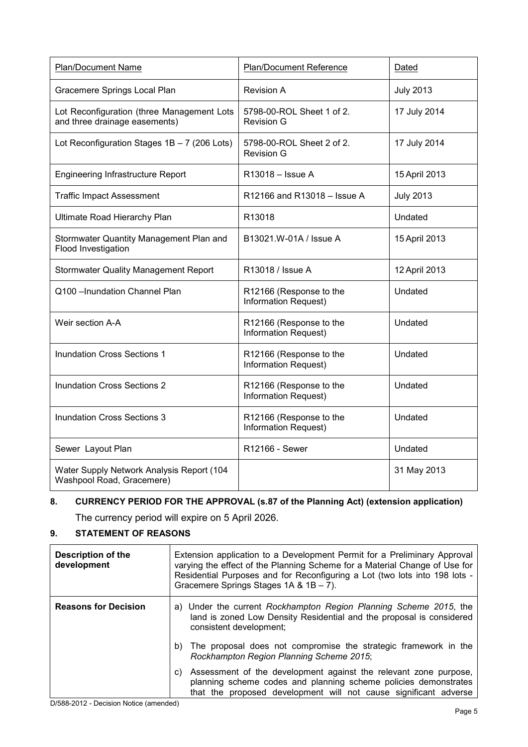| <b>Plan/Document Name</b>                                                   | <b>Plan/Document Reference</b>                         | Dated            |
|-----------------------------------------------------------------------------|--------------------------------------------------------|------------------|
| Gracemere Springs Local Plan                                                | <b>Revision A</b>                                      | <b>July 2013</b> |
| Lot Reconfiguration (three Management Lots<br>and three drainage easements) | 5798-00-ROL Sheet 1 of 2.<br><b>Revision G</b>         | 17 July 2014     |
| Lot Reconfiguration Stages $1B - 7$ (206 Lots)                              | 5798-00-ROL Sheet 2 of 2.<br><b>Revision G</b>         | 17 July 2014     |
| <b>Engineering Infrastructure Report</b>                                    | R13018 - Issue A                                       | 15 April 2013    |
| <b>Traffic Impact Assessment</b>                                            | R12166 and R13018 - Issue A                            | <b>July 2013</b> |
| Ultimate Road Hierarchy Plan                                                | R13018                                                 | Undated          |
| Stormwater Quantity Management Plan and<br>Flood Investigation              | B13021.W-01A / Issue A                                 | 15 April 2013    |
| <b>Stormwater Quality Management Report</b>                                 | R13018 / Issue A                                       | 12 April 2013    |
| Q100 - Inundation Channel Plan                                              | R12166 (Response to the<br><b>Information Request)</b> | Undated          |
| Weir section A-A                                                            | R12166 (Response to the<br><b>Information Request)</b> | Undated          |
| <b>Inundation Cross Sections 1</b>                                          | R12166 (Response to the<br>Information Request)        | Undated          |
| <b>Inundation Cross Sections 2</b>                                          | R12166 (Response to the<br><b>Information Request)</b> | Undated          |
| Inundation Cross Sections 3                                                 | R12166 (Response to the<br><b>Information Request)</b> | Undated          |
| Sewer Layout Plan                                                           | R12166 - Sewer                                         | Undated          |
| Water Supply Network Analysis Report (104<br>Washpool Road, Gracemere)      |                                                        | 31 May 2013      |

# **8. CURRENCY PERIOD FOR THE APPROVAL (s.87 of the Planning Act) (extension application)**

The currency period will expire on 5 April 2026.

# **9. STATEMENT OF REASONS**

| <b>Description of the</b><br>development | Extension application to a Development Permit for a Preliminary Approval<br>varying the effect of the Planning Scheme for a Material Change of Use for<br>Residential Purposes and for Reconfiguring a Lot (two lots into 198 lots -<br>Gracemere Springs Stages 1A & 1B - 7). |  |
|------------------------------------------|--------------------------------------------------------------------------------------------------------------------------------------------------------------------------------------------------------------------------------------------------------------------------------|--|
| <b>Reasons for Decision</b>              | a) Under the current Rockhampton Region Planning Scheme 2015, the<br>land is zoned Low Density Residential and the proposal is considered<br>consistent development;                                                                                                           |  |
|                                          | The proposal does not compromise the strategic framework in the<br>b)<br>Rockhampton Region Planning Scheme 2015;                                                                                                                                                              |  |
|                                          | Assessment of the development against the relevant zone purpose,<br>C)<br>planning scheme codes and planning scheme policies demonstrates<br>that the proposed development will not cause significant adverse                                                                  |  |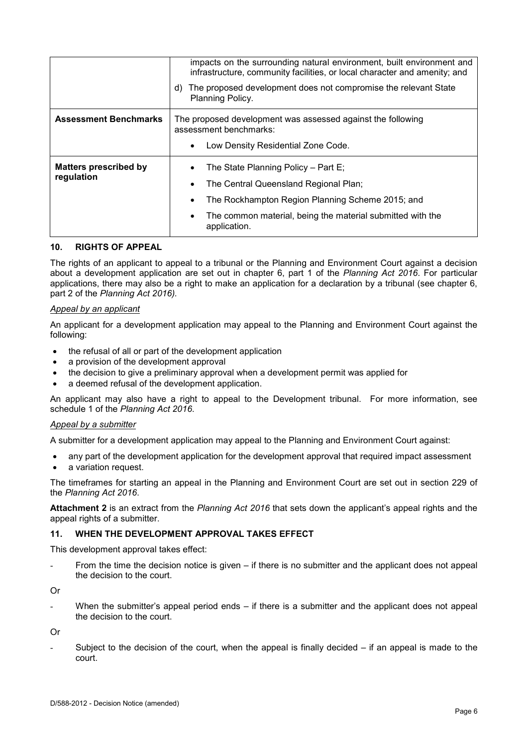|                              | impacts on the surrounding natural environment, built environment and<br>infrastructure, community facilities, or local character and amenity; and |  |  |
|------------------------------|----------------------------------------------------------------------------------------------------------------------------------------------------|--|--|
|                              | The proposed development does not compromise the relevant State<br>d)<br><b>Planning Policy.</b>                                                   |  |  |
| <b>Assessment Benchmarks</b> | The proposed development was assessed against the following<br>assessment benchmarks:                                                              |  |  |
|                              | Low Density Residential Zone Code.<br>$\bullet$                                                                                                    |  |  |
| <b>Matters prescribed by</b> | The State Planning Policy - Part E;                                                                                                                |  |  |
| regulation                   | The Central Queensland Regional Plan;                                                                                                              |  |  |
|                              | The Rockhampton Region Planning Scheme 2015; and                                                                                                   |  |  |
|                              | The common material, being the material submitted with the<br>application.                                                                         |  |  |

#### **10. RIGHTS OF APPEAL**

The rights of an applicant to appeal to a tribunal or the Planning and Environment Court against a decision about a development application are set out in chapter 6, part 1 of the *Planning Act 2016*. For particular applications, there may also be a right to make an application for a declaration by a tribunal (see chapter 6, part 2 of the *Planning Act 2016).*

#### *Appeal by an applicant*

An applicant for a development application may appeal to the Planning and Environment Court against the following:

- the refusal of all or part of the development application
- a provision of the development approval
- the decision to give a preliminary approval when a development permit was applied for
- a deemed refusal of the development application.

An applicant may also have a right to appeal to the Development tribunal. For more information, see schedule 1 of the *Planning Act 2016*.

#### *Appeal by a submitter*

A submitter for a development application may appeal to the Planning and Environment Court against:

- any part of the development application for the development approval that required impact assessment
- a variation request.

The timeframes for starting an appeal in the Planning and Environment Court are set out in section 229 of the *Planning Act 2016*.

**Attachment 2** is an extract from the *Planning Act 2016* that sets down the applicant's appeal rights and the appeal rights of a submitter.

# **11. WHEN THE DEVELOPMENT APPROVAL TAKES EFFECT**

This development approval takes effect:

From the time the decision notice is given  $-$  if there is no submitter and the applicant does not appeal the decision to the court.

Or

When the submitter's appeal period ends  $-$  if there is a submitter and the applicant does not appeal the decision to the court.

Or

Subject to the decision of the court, when the appeal is finally decided  $-$  if an appeal is made to the court.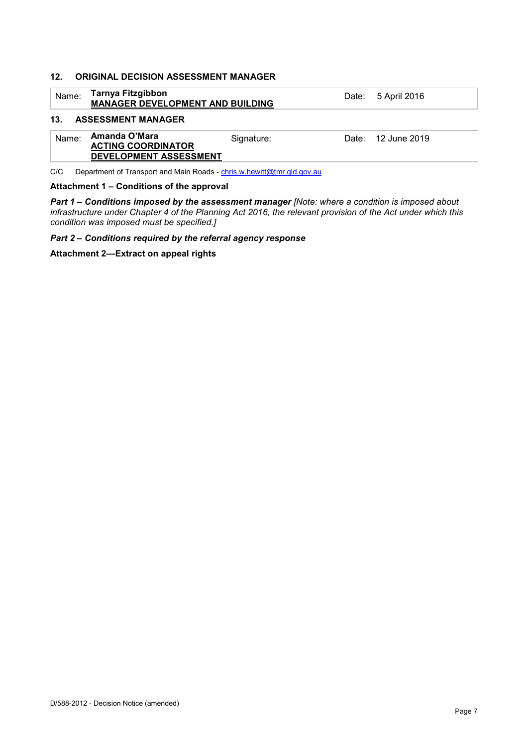#### **12. ORIGINAL DECISION ASSESSMENT MANAGER**

|       | <b>Tarnya Fitzgibbon</b><br>Name:<br><b>MANAGER DEVELOPMENT AND BUILDING</b> |            | Date: 5 April 2016 |
|-------|------------------------------------------------------------------------------|------------|--------------------|
| 13.   | <b>ASSESSMENT MANAGER</b>                                                    |            |                    |
| Name: | Amanda O'Mara<br><b>ACTING COORDINATOR</b><br>DEVELOPMENT ASSESSMENT         | Signature: | Date: 12 June 2019 |

C/C Department of Transport and Main Roads - [chris.w.hewitt@tmr.qld.gov.au](mailto:chris.w.hewitt@tmr.qld.gov.au)

#### **Attachment 1 – Conditions of the approval**

*Part 1* **–** *Conditions imposed by the assessment manager [Note: where a condition is imposed about infrastructure under Chapter 4 of the Planning Act 2016, the relevant provision of the Act under which this condition was imposed must be specified.]*

*Part 2 – Conditions required by the referral agency response* 

**Attachment 2—Extract on appeal rights**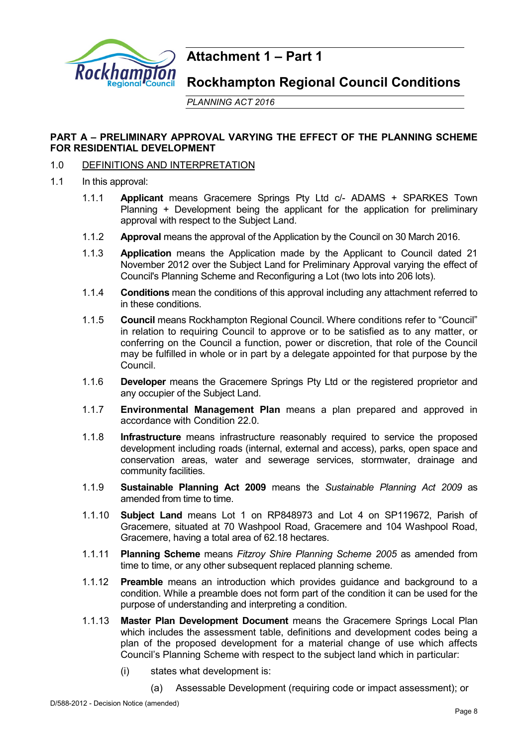

# **Attachment 1 – Part 1**

**Rockhampton Regional Council Conditions**

*PLANNING ACT 2016*

# **PART A – PRELIMINARY APPROVAL VARYING THE EFFECT OF THE PLANNING SCHEME FOR RESIDENTIAL DEVELOPMENT**

# 1.0 DEFINITIONS AND INTERPRETATION

- 1.1 In this approval:
	- 1.1.1 **Applicant** means Gracemere Springs Pty Ltd c/- ADAMS + SPARKES Town Planning + Development being the applicant for the application for preliminary approval with respect to the Subject Land.
	- 1.1.2 **Approval** means the approval of the Application by the Council on 30 March 2016.
	- 1.1.3 **Application** means the Application made by the Applicant to Council dated 21 November 2012 over the Subject Land for Preliminary Approval varying the effect of Council's Planning Scheme and Reconfiguring a Lot (two lots into 206 lots).
	- 1.1.4 **Conditions** mean the conditions of this approval including any attachment referred to in these conditions.
	- 1.1.5 **Council** means Rockhampton Regional Council. Where conditions refer to "Council" in relation to requiring Council to approve or to be satisfied as to any matter, or conferring on the Council a function, power or discretion, that role of the Council may be fulfilled in whole or in part by a delegate appointed for that purpose by the Council.
	- 1.1.6 **Developer** means the Gracemere Springs Pty Ltd or the registered proprietor and any occupier of the Subject Land.
	- 1.1.7 **Environmental Management Plan** means a plan prepared and approved in accordance with Condition 22.0.
	- 1.1.8 **Infrastructure** means infrastructure reasonably required to service the proposed development including roads (internal, external and access), parks, open space and conservation areas, water and sewerage services, stormwater, drainage and community facilities.
	- 1.1.9 **Sustainable Planning Act 2009** means the *Sustainable Planning Act 2009* as amended from time to time.
	- 1.1.10 **Subject Land** means Lot 1 on RP848973 and Lot 4 on SP119672, Parish of Gracemere, situated at 70 Washpool Road, Gracemere and 104 Washpool Road, Gracemere, having a total area of 62.18 hectares.
	- 1.1.11 **Planning Scheme** means *Fitzroy Shire Planning Scheme 2005* as amended from time to time, or any other subsequent replaced planning scheme*.*
	- 1.1.12 **Preamble** means an introduction which provides guidance and background to a condition. While a preamble does not form part of the condition it can be used for the purpose of understanding and interpreting a condition.
	- 1.1.13 **Master Plan Development Document** means the Gracemere Springs Local Plan which includes the assessment table, definitions and development codes being a plan of the proposed development for a material change of use which affects Council's Planning Scheme with respect to the subject land which in particular:
		- (i) states what development is:
			- (a) Assessable Development (requiring code or impact assessment); or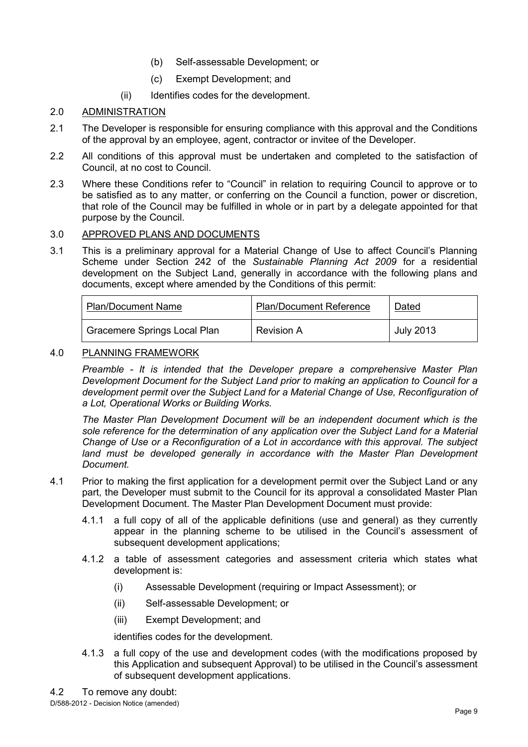- (b) Self-assessable Development; or
- (c) Exempt Development; and
- (ii) Identifies codes for the development.

# 2.0 ADMINISTRATION

- 2.1 The Developer is responsible for ensuring compliance with this approval and the Conditions of the approval by an employee, agent, contractor or invitee of the Developer.
- 2.2 All conditions of this approval must be undertaken and completed to the satisfaction of Council, at no cost to Council.
- 2.3 Where these Conditions refer to "Council" in relation to requiring Council to approve or to be satisfied as to any matter, or conferring on the Council a function, power or discretion, that role of the Council may be fulfilled in whole or in part by a delegate appointed for that purpose by the Council.

## 3.0 APPROVED PLANS AND DOCUMENTS

3.1 This is a preliminary approval for a Material Change of Use to affect Council's Planning Scheme under Section 242 of the *Sustainable Planning Act 2009* for a residential development on the Subject Land, generally in accordance with the following plans and documents, except where amended by the Conditions of this permit:

| <b>Plan/Document Name</b>    | <b>Plan/Document Reference</b> | Dated     |
|------------------------------|--------------------------------|-----------|
| Gracemere Springs Local Plan | <b>Revision A</b>              | July 2013 |

## 4.0 PLANNING FRAMEWORK

*Preamble - It is intended that the Developer prepare a comprehensive Master Plan Development Document for the Subject Land prior to making an application to Council for a development permit over the Subject Land for a Material Change of Use, Reconfiguration of a Lot, Operational Works or Building Works.* 

*The Master Plan Development Document will be an independent document which is the*  sole reference for the determination of any application over the Subject Land for a Material *Change of Use or a Reconfiguration of a Lot in accordance with this approval. The subject*  land must be developed generally in accordance with the Master Plan Development *Document.* 

- 4.1 Prior to making the first application for a development permit over the Subject Land or any part, the Developer must submit to the Council for its approval a consolidated Master Plan Development Document. The Master Plan Development Document must provide:
	- 4.1.1 a full copy of all of the applicable definitions (use and general) as they currently appear in the planning scheme to be utilised in the Council's assessment of subsequent development applications;
	- 4.1.2 a table of assessment categories and assessment criteria which states what development is:
		- (i) Assessable Development (requiring or Impact Assessment); or
		- (ii) Self-assessable Development; or
		- (iii) Exempt Development; and

identifies codes for the development.

4.1.3 a full copy of the use and development codes (with the modifications proposed by this Application and subsequent Approval) to be utilised in the Council's assessment of subsequent development applications.

D/588-2012 - Decision Notice (amended) 4.2 To remove any doubt: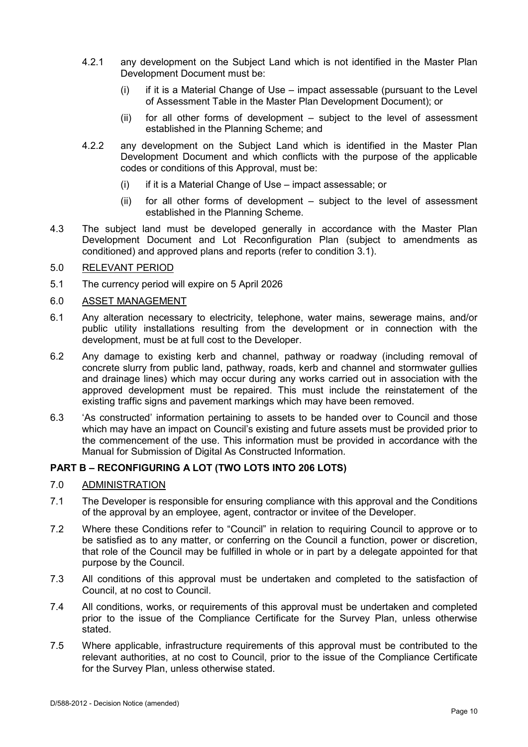- 4.2.1 any development on the Subject Land which is not identified in the Master Plan Development Document must be:
	- $(i)$  if it is a Material Change of Use impact assessable (pursuant to the Level of Assessment Table in the Master Plan Development Document); or
	- (ii) for all other forms of development subject to the level of assessment established in the Planning Scheme; and
- 4.2.2 any development on the Subject Land which is identified in the Master Plan Development Document and which conflicts with the purpose of the applicable codes or conditions of this Approval, must be:
	- (i) if it is a Material Change of Use impact assessable; or
	- (ii) for all other forms of development subject to the level of assessment established in the Planning Scheme.
- 4.3 The subject land must be developed generally in accordance with the Master Plan Development Document and Lot Reconfiguration Plan (subject to amendments as conditioned) and approved plans and reports (refer to condition 3.1).

## 5.0 RELEVANT PERIOD

5.1 The currency period will expire on 5 April 2026

#### 6.0 ASSET MANAGEMENT

- 6.1 Any alteration necessary to electricity, telephone, water mains, sewerage mains, and/or public utility installations resulting from the development or in connection with the development, must be at full cost to the Developer.
- 6.2 Any damage to existing kerb and channel, pathway or roadway (including removal of concrete slurry from public land, pathway, roads, kerb and channel and stormwater gullies and drainage lines) which may occur during any works carried out in association with the approved development must be repaired. This must include the reinstatement of the existing traffic signs and pavement markings which may have been removed.
- 6.3 'As constructed' information pertaining to assets to be handed over to Council and those which may have an impact on Council's existing and future assets must be provided prior to the commencement of the use. This information must be provided in accordance with the Manual for Submission of Digital As Constructed Information.

## **PART B – RECONFIGURING A LOT (TWO LOTS INTO 206 LOTS)**

- 7.0 ADMINISTRATION
- 7.1 The Developer is responsible for ensuring compliance with this approval and the Conditions of the approval by an employee, agent, contractor or invitee of the Developer.
- 7.2 Where these Conditions refer to "Council" in relation to requiring Council to approve or to be satisfied as to any matter, or conferring on the Council a function, power or discretion, that role of the Council may be fulfilled in whole or in part by a delegate appointed for that purpose by the Council.
- 7.3 All conditions of this approval must be undertaken and completed to the satisfaction of Council, at no cost to Council.
- 7.4 All conditions, works, or requirements of this approval must be undertaken and completed prior to the issue of the Compliance Certificate for the Survey Plan, unless otherwise stated.
- 7.5 Where applicable, infrastructure requirements of this approval must be contributed to the relevant authorities, at no cost to Council, prior to the issue of the Compliance Certificate for the Survey Plan, unless otherwise stated.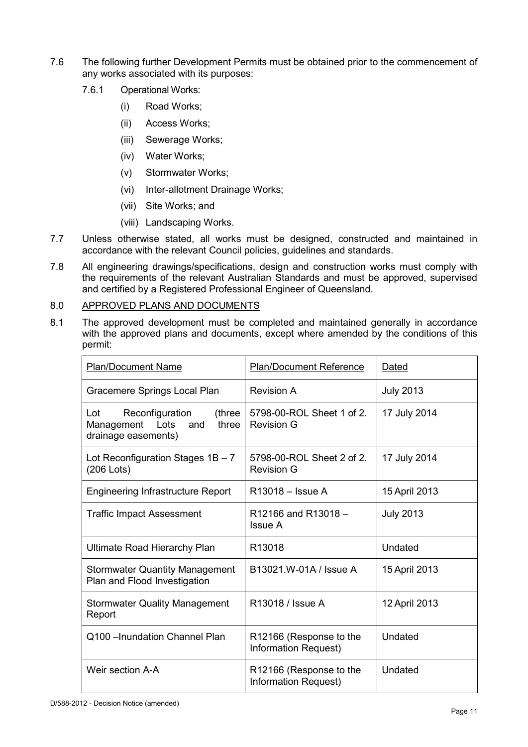- 7.6 The following further Development Permits must be obtained prior to the commencement of any works associated with its purposes:
	- 7.6.1 Operational Works:
		- (i) Road Works;
		- (ii) Access Works;
		- (iii) Sewerage Works;
		- (iv) Water Works;
		- (v) Stormwater Works;
		- (vi) Inter-allotment Drainage Works;
		- (vii) Site Works; and
		- (viii) Landscaping Works.
- 7.7 Unless otherwise stated, all works must be designed, constructed and maintained in accordance with the relevant Council policies, guidelines and standards.
- 7.8 All engineering drawings/specifications, design and construction works must comply with the requirements of the relevant Australian Standards and must be approved, supervised and certified by a Registered Professional Engineer of Queensland.

## 8.0 APPROVED PLANS AND DOCUMENTS

8.1 The approved development must be completed and maintained generally in accordance with the approved plans and documents, except where amended by the conditions of this permit:

| <b>Plan/Document Name</b>                                                                     | <b>Plan/Document Reference</b>                  | Dated            |
|-----------------------------------------------------------------------------------------------|-------------------------------------------------|------------------|
| Gracemere Springs Local Plan                                                                  | Revision A                                      | <b>July 2013</b> |
| Reconfiguration<br>(three<br>Lot<br>Lots<br>three<br>Management<br>and<br>drainage easements) | 5798-00-ROL Sheet 1 of 2.<br><b>Revision G</b>  | 17 July 2014     |
| Lot Reconfiguration Stages $1B - 7$<br>$(206$ Lots)                                           | 5798-00-ROL Sheet 2 of 2.<br><b>Revision G</b>  | 17 July 2014     |
| <b>Engineering Infrastructure Report</b>                                                      | R13018 - Issue A                                | 15 April 2013    |
| <b>Traffic Impact Assessment</b>                                                              | R12166 and R13018 -<br><b>Issue A</b>           | <b>July 2013</b> |
| Ultimate Road Hierarchy Plan                                                                  | R <sub>13018</sub>                              | Undated          |
| <b>Stormwater Quantity Management</b><br>Plan and Flood Investigation                         | B13021.W-01A / Issue A                          | 15 April 2013    |
| <b>Stormwater Quality Management</b><br>Report                                                | R13018 / Issue A                                | 12 April 2013    |
| Q100 - Inundation Channel Plan                                                                | R12166 (Response to the<br>Information Request) | Undated          |
| Weir section A-A                                                                              | R12166 (Response to the<br>Information Request) | Undated          |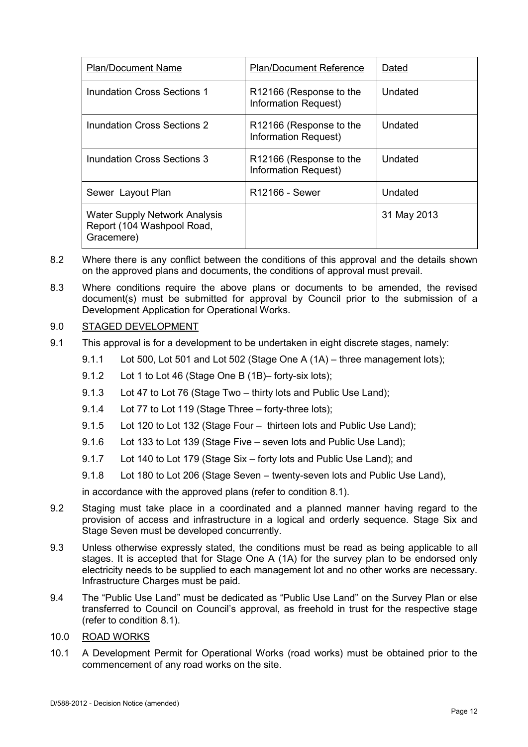| <b>Plan/Document Name</b>                                                 | <b>Plan/Document Reference</b>                              | Dated       |
|---------------------------------------------------------------------------|-------------------------------------------------------------|-------------|
| Inundation Cross Sections 1                                               | R <sub>12166</sub> (Response to the<br>Information Request) | Undated     |
| Inundation Cross Sections 2                                               | R12166 (Response to the<br>Information Request)             | Undated     |
| Inundation Cross Sections 3                                               | R <sub>12166</sub> (Response to the<br>Information Request) | Undated     |
| Sewer Layout Plan                                                         | R12166 - Sewer                                              | Undated     |
| Water Supply Network Analysis<br>Report (104 Washpool Road,<br>Gracemere) |                                                             | 31 May 2013 |

- 8.2 Where there is any conflict between the conditions of this approval and the details shown on the approved plans and documents, the conditions of approval must prevail.
- 8.3 Where conditions require the above plans or documents to be amended, the revised document(s) must be submitted for approval by Council prior to the submission of a Development Application for Operational Works.

## 9.0 STAGED DEVELOPMENT

- 9.1 This approval is for a development to be undertaken in eight discrete stages, namely:
	- 9.1.1 Lot 500, Lot 501 and Lot 502 (Stage One A (1A) three management lots);
	- 9.1.2 Lot 1 to Lot 46 (Stage One B (1B)– forty-six lots):
	- 9.1.3 Lot 47 to Lot 76 (Stage Two thirty lots and Public Use Land);
	- 9.1.4 Lot 77 to Lot 119 (Stage Three forty-three lots);
	- 9.1.5 Lot 120 to Lot 132 (Stage Four thirteen lots and Public Use Land);
	- 9.1.6 Lot 133 to Lot 139 (Stage Five seven lots and Public Use Land);
	- 9.1.7 Lot 140 to Lot 179 (Stage Six forty lots and Public Use Land); and
	- 9.1.8 Lot 180 to Lot 206 (Stage Seven twenty-seven lots and Public Use Land),

in accordance with the approved plans (refer to condition 8.1).

- 9.2 Staging must take place in a coordinated and a planned manner having regard to the provision of access and infrastructure in a logical and orderly sequence. Stage Six and Stage Seven must be developed concurrently.
- 9.3 Unless otherwise expressly stated, the conditions must be read as being applicable to all stages. It is accepted that for Stage One A (1A) for the survey plan to be endorsed only electricity needs to be supplied to each management lot and no other works are necessary. Infrastructure Charges must be paid.
- 9.4 The "Public Use Land" must be dedicated as "Public Use Land" on the Survey Plan or else transferred to Council on Council's approval, as freehold in trust for the respective stage (refer to condition 8.1).
- 10.0 ROAD WORKS
- 10.1 A Development Permit for Operational Works (road works) must be obtained prior to the commencement of any road works on the site.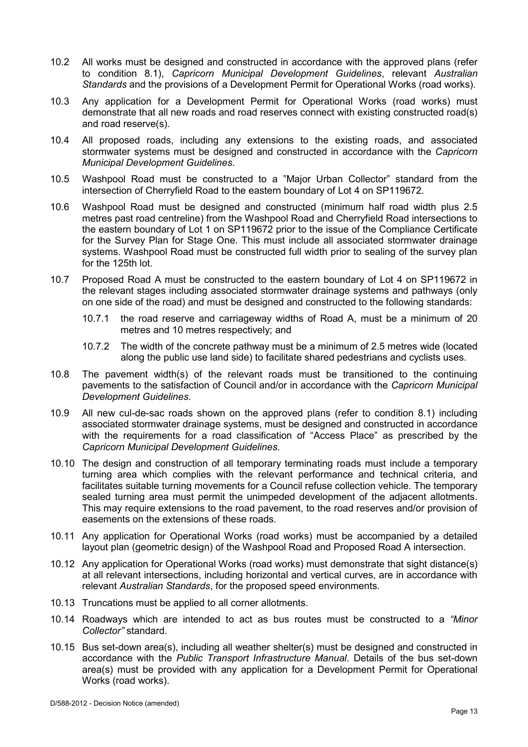- 10.2 All works must be designed and constructed in accordance with the approved plans (refer to condition 8.1), *Capricorn Municipal Development Guidelines*, relevant *Australian Standards* and the provisions of a Development Permit for Operational Works (road works).
- 10.3 Any application for a Development Permit for Operational Works (road works) must demonstrate that all new roads and road reserves connect with existing constructed road(s) and road reserve(s).
- 10.4 All proposed roads, including any extensions to the existing roads, and associated stormwater systems must be designed and constructed in accordance with the *Capricorn Municipal Development Guidelines*.
- 10.5 Washpool Road must be constructed to a "Major Urban Collector" standard from the intersection of Cherryfield Road to the eastern boundary of Lot 4 on SP119672.
- 10.6 Washpool Road must be designed and constructed (minimum half road width plus 2.5 metres past road centreline) from the Washpool Road and Cherryfield Road intersections to the eastern boundary of Lot 1 on SP119672 prior to the issue of the Compliance Certificate for the Survey Plan for Stage One. This must include all associated stormwater drainage systems. Washpool Road must be constructed full width prior to sealing of the survey plan for the 125th lot.
- 10.7 Proposed Road A must be constructed to the eastern boundary of Lot 4 on SP119672 in the relevant stages including associated stormwater drainage systems and pathways (only on one side of the road) and must be designed and constructed to the following standards:
	- 10.7.1 the road reserve and carriageway widths of Road A, must be a minimum of 20 metres and 10 metres respectively; and
	- 10.7.2 The width of the concrete pathway must be a minimum of 2.5 metres wide (located along the public use land side) to facilitate shared pedestrians and cyclists uses.
- 10.8 The pavement width(s) of the relevant roads must be transitioned to the continuing pavements to the satisfaction of Council and/or in accordance with the *Capricorn Municipal Development Guidelines*.
- 10.9 All new cul-de-sac roads shown on the approved plans (refer to condition 8.1) including associated stormwater drainage systems, must be designed and constructed in accordance with the requirements for a road classification of "Access Place" as prescribed by the *Capricorn Municipal Development Guidelines*.
- 10.10 The design and construction of all temporary terminating roads must include a temporary turning area which complies with the relevant performance and technical criteria, and facilitates suitable turning movements for a Council refuse collection vehicle. The temporary sealed turning area must permit the unimpeded development of the adjacent allotments. This may require extensions to the road pavement, to the road reserves and/or provision of easements on the extensions of these roads.
- 10.11 Any application for Operational Works (road works) must be accompanied by a detailed layout plan (geometric design) of the Washpool Road and Proposed Road A intersection.
- 10.12 Any application for Operational Works (road works) must demonstrate that sight distance(s) at all relevant intersections, including horizontal and vertical curves, are in accordance with relevant *Australian Standards*, for the proposed speed environments.
- 10.13 Truncations must be applied to all corner allotments.
- 10.14 Roadways which are intended to act as bus routes must be constructed to a *"Minor Collector"* standard.
- 10.15 Bus set-down area(s), including all weather shelter(s) must be designed and constructed in accordance with the *Public Transport Infrastructure Manual*. Details of the bus set-down area(s) must be provided with any application for a Development Permit for Operational Works (road works).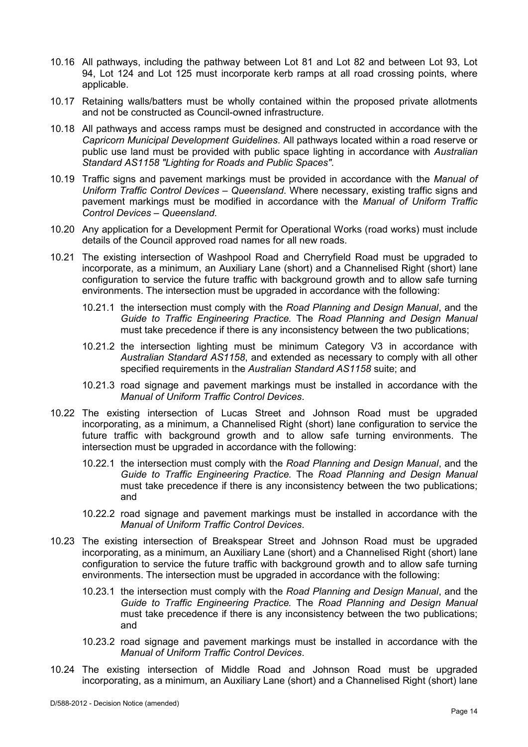- 10.16 All pathways, including the pathway between Lot 81 and Lot 82 and between Lot 93, Lot 94, Lot 124 and Lot 125 must incorporate kerb ramps at all road crossing points, where applicable.
- 10.17 Retaining walls/batters must be wholly contained within the proposed private allotments and not be constructed as Council-owned infrastructure.
- 10.18 All pathways and access ramps must be designed and constructed in accordance with the *Capricorn Municipal Development Guidelines*. All pathways located within a road reserve or public use land must be provided with public space lighting in accordance with *Australian Standard AS1158 "Lighting for Roads and Public Spaces".*
- 10.19 Traffic signs and pavement markings must be provided in accordance with the *Manual of Uniform Traffic Control Devices – Queensland*. Where necessary, existing traffic signs and pavement markings must be modified in accordance with the *Manual of Uniform Traffic Control Devices – Queensland*.
- 10.20 Any application for a Development Permit for Operational Works (road works) must include details of the Council approved road names for all new roads.
- 10.21 The existing intersection of Washpool Road and Cherryfield Road must be upgraded to incorporate, as a minimum, an Auxiliary Lane (short) and a Channelised Right (short) lane configuration to service the future traffic with background growth and to allow safe turning environments. The intersection must be upgraded in accordance with the following:
	- 10.21.1 the intersection must comply with the *Road Planning and Design Manual*, and the *Guide to Traffic Engineering Practice.* The *Road Planning and Design Manual* must take precedence if there is any inconsistency between the two publications;
	- 10.21.2 the intersection lighting must be minimum Category V3 in accordance with *Australian Standard AS1158*, and extended as necessary to comply with all other specified requirements in the *Australian Standard AS1158* suite; and
	- 10.21.3 road signage and pavement markings must be installed in accordance with the *Manual of Uniform Traffic Control Devices*.
- 10.22 The existing intersection of Lucas Street and Johnson Road must be upgraded incorporating, as a minimum, a Channelised Right (short) lane configuration to service the future traffic with background growth and to allow safe turning environments. The intersection must be upgraded in accordance with the following:
	- 10.22.1 the intersection must comply with the *Road Planning and Design Manual*, and the *Guide to Traffic Engineering Practice.* The *Road Planning and Design Manual* must take precedence if there is any inconsistency between the two publications; and
	- 10.22.2 road signage and pavement markings must be installed in accordance with the *Manual of Uniform Traffic Control Devices*.
- 10.23 The existing intersection of Breakspear Street and Johnson Road must be upgraded incorporating, as a minimum, an Auxiliary Lane (short) and a Channelised Right (short) lane configuration to service the future traffic with background growth and to allow safe turning environments. The intersection must be upgraded in accordance with the following:
	- 10.23.1 the intersection must comply with the *Road Planning and Design Manual*, and the *Guide to Traffic Engineering Practice.* The *Road Planning and Design Manual* must take precedence if there is any inconsistency between the two publications; and
	- 10.23.2 road signage and pavement markings must be installed in accordance with the *Manual of Uniform Traffic Control Devices*.
- 10.24 The existing intersection of Middle Road and Johnson Road must be upgraded incorporating, as a minimum, an Auxiliary Lane (short) and a Channelised Right (short) lane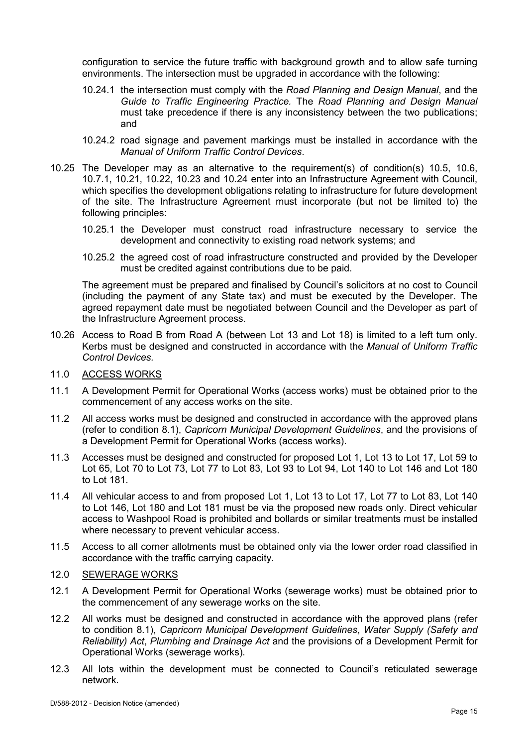configuration to service the future traffic with background growth and to allow safe turning environments. The intersection must be upgraded in accordance with the following:

- 10.24.1 the intersection must comply with the *Road Planning and Design Manual*, and the *Guide to Traffic Engineering Practice.* The *Road Planning and Design Manual* must take precedence if there is any inconsistency between the two publications; and
- 10.24.2 road signage and pavement markings must be installed in accordance with the *Manual of Uniform Traffic Control Devices*.
- 10.25 The Developer may as an alternative to the requirement(s) of condition(s) 10.5, 10.6, 10.7.1, 10.21, 10.22, 10.23 and 10.24 enter into an Infrastructure Agreement with Council, which specifies the development obligations relating to infrastructure for future development of the site. The Infrastructure Agreement must incorporate (but not be limited to) the following principles:
	- 10.25.1 the Developer must construct road infrastructure necessary to service the development and connectivity to existing road network systems; and
	- 10.25.2 the agreed cost of road infrastructure constructed and provided by the Developer must be credited against contributions due to be paid.

The agreement must be prepared and finalised by Council's solicitors at no cost to Council (including the payment of any State tax) and must be executed by the Developer. The agreed repayment date must be negotiated between Council and the Developer as part of the Infrastructure Agreement process.

- 10.26 Access to Road B from Road A (between Lot 13 and Lot 18) is limited to a left turn only. Kerbs must be designed and constructed in accordance with the *Manual of Uniform Traffic Control Devices.*
- 11.0 ACCESS WORKS
- 11.1 A Development Permit for Operational Works (access works) must be obtained prior to the commencement of any access works on the site.
- 11.2 All access works must be designed and constructed in accordance with the approved plans (refer to condition 8.1), *Capricorn Municipal Development Guidelines*, and the provisions of a Development Permit for Operational Works (access works).
- 11.3 Accesses must be designed and constructed for proposed Lot 1, Lot 13 to Lot 17, Lot 59 to Lot 65, Lot 70 to Lot 73, Lot 77 to Lot 83, Lot 93 to Lot 94, Lot 140 to Lot 146 and Lot 180 to Lot 181.
- 11.4 All vehicular access to and from proposed Lot 1, Lot 13 to Lot 17, Lot 77 to Lot 83, Lot 140 to Lot 146, Lot 180 and Lot 181 must be via the proposed new roads only. Direct vehicular access to Washpool Road is prohibited and bollards or similar treatments must be installed where necessary to prevent vehicular access.
- 11.5 Access to all corner allotments must be obtained only via the lower order road classified in accordance with the traffic carrying capacity.

#### 12.0 SEWERAGE WORKS

- 12.1 A Development Permit for Operational Works (sewerage works) must be obtained prior to the commencement of any sewerage works on the site.
- 12.2 All works must be designed and constructed in accordance with the approved plans (refer to condition 8.1), *Capricorn Municipal Development Guidelines*, *Water Supply (Safety and Reliability) Act*, *Plumbing and Drainage Act* and the provisions of a Development Permit for Operational Works (sewerage works).
- 12.3 All lots within the development must be connected to Council's reticulated sewerage network*.*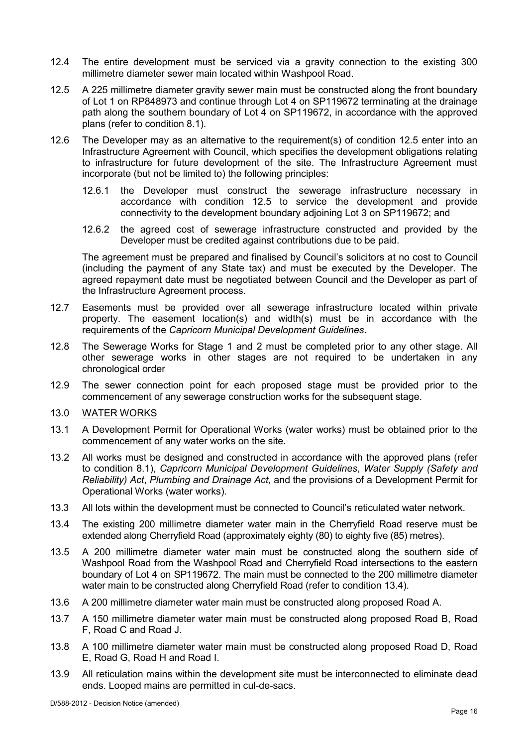- 12.4 The entire development must be serviced via a gravity connection to the existing 300 millimetre diameter sewer main located within Washpool Road.
- 12.5 A 225 millimetre diameter gravity sewer main must be constructed along the front boundary of Lot 1 on RP848973 and continue through Lot 4 on SP119672 terminating at the drainage path along the southern boundary of Lot 4 on SP119672, in accordance with the approved plans (refer to condition 8.1).
- 12.6 The Developer may as an alternative to the requirement(s) of condition 12.5 enter into an Infrastructure Agreement with Council, which specifies the development obligations relating to infrastructure for future development of the site. The Infrastructure Agreement must incorporate (but not be limited to) the following principles:
	- 12.6.1 the Developer must construct the sewerage infrastructure necessary in accordance with condition 12.5 to service the development and provide connectivity to the development boundary adjoining Lot 3 on SP119672; and
	- 12.6.2 the agreed cost of sewerage infrastructure constructed and provided by the Developer must be credited against contributions due to be paid.

The agreement must be prepared and finalised by Council's solicitors at no cost to Council (including the payment of any State tax) and must be executed by the Developer. The agreed repayment date must be negotiated between Council and the Developer as part of the Infrastructure Agreement process.

- 12.7 Easements must be provided over all sewerage infrastructure located within private property. The easement location(s) and width(s) must be in accordance with the requirements of the *Capricorn Municipal Development Guidelines*.
- 12.8 The Sewerage Works for Stage 1 and 2 must be completed prior to any other stage. All other sewerage works in other stages are not required to be undertaken in any chronological order
- 12.9 The sewer connection point for each proposed stage must be provided prior to the commencement of any sewerage construction works for the subsequent stage.
- 13.0 WATER WORKS
- 13.1 A Development Permit for Operational Works (water works) must be obtained prior to the commencement of any water works on the site.
- 13.2 All works must be designed and constructed in accordance with the approved plans (refer to condition 8.1), *Capricorn Municipal Development Guidelines*, *Water Supply (Safety and Reliability) Act*, *Plumbing and Drainage Act,* and the provisions of a Development Permit for Operational Works (water works).
- 13.3 All lots within the development must be connected to Council's reticulated water network*.*
- 13.4 The existing 200 millimetre diameter water main in the Cherryfield Road reserve must be extended along Cherryfield Road (approximately eighty (80) to eighty five (85) metres).
- 13.5 A 200 millimetre diameter water main must be constructed along the southern side of Washpool Road from the Washpool Road and Cherryfield Road intersections to the eastern boundary of Lot 4 on SP119672. The main must be connected to the 200 millimetre diameter water main to be constructed along Cherryfield Road (refer to condition 13.4).
- 13.6 A 200 millimetre diameter water main must be constructed along proposed Road A.
- 13.7 A 150 millimetre diameter water main must be constructed along proposed Road B, Road F, Road C and Road J.
- 13.8 A 100 millimetre diameter water main must be constructed along proposed Road D, Road E, Road G, Road H and Road I.
- 13.9 All reticulation mains within the development site must be interconnected to eliminate dead ends. Looped mains are permitted in cul-de-sacs.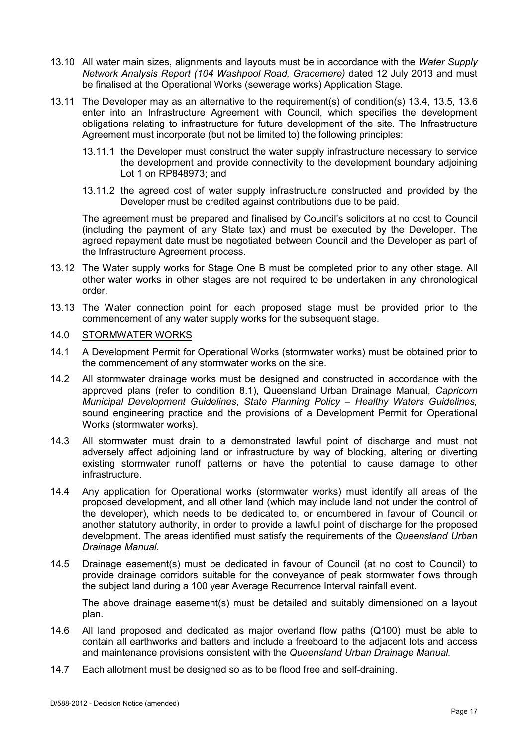- 13.10 All water main sizes, alignments and layouts must be in accordance with the *Water Supply Network Analysis Report (104 Washpool Road, Gracemere)* dated 12 July 2013 and must be finalised at the Operational Works (sewerage works) Application Stage.
- 13.11 The Developer may as an alternative to the requirement(s) of condition(s) 13.4, 13.5, 13.6 enter into an Infrastructure Agreement with Council, which specifies the development obligations relating to infrastructure for future development of the site. The Infrastructure Agreement must incorporate (but not be limited to) the following principles:
	- 13.11.1 the Developer must construct the water supply infrastructure necessary to service the development and provide connectivity to the development boundary adjoining Lot 1 on RP848973; and
	- 13.11.2 the agreed cost of water supply infrastructure constructed and provided by the Developer must be credited against contributions due to be paid.

The agreement must be prepared and finalised by Council's solicitors at no cost to Council (including the payment of any State tax) and must be executed by the Developer. The agreed repayment date must be negotiated between Council and the Developer as part of the Infrastructure Agreement process.

- 13.12 The Water supply works for Stage One B must be completed prior to any other stage. All other water works in other stages are not required to be undertaken in any chronological order.
- 13.13 The Water connection point for each proposed stage must be provided prior to the commencement of any water supply works for the subsequent stage.

#### 14.0 STORMWATER WORKS

- 14.1 A Development Permit for Operational Works (stormwater works) must be obtained prior to the commencement of any stormwater works on the site.
- 14.2 All stormwater drainage works must be designed and constructed in accordance with the approved plans (refer to condition 8.1), Queensland Urban Drainage Manual, *Capricorn Municipal Development Guidelines*, *State Planning Policy – Healthy Waters Guidelines,* sound engineering practice and the provisions of a Development Permit for Operational Works (stormwater works).
- 14.3 All stormwater must drain to a demonstrated lawful point of discharge and must not adversely affect adjoining land or infrastructure by way of blocking, altering or diverting existing stormwater runoff patterns or have the potential to cause damage to other infrastructure.
- 14.4 Any application for Operational works (stormwater works) must identify all areas of the proposed development, and all other land (which may include land not under the control of the developer), which needs to be dedicated to, or encumbered in favour of Council or another statutory authority, in order to provide a lawful point of discharge for the proposed development. The areas identified must satisfy the requirements of the *Queensland Urban Drainage Manual*.
- 14.5 Drainage easement(s) must be dedicated in favour of Council (at no cost to Council) to provide drainage corridors suitable for the conveyance of peak stormwater flows through the subject land during a 100 year Average Recurrence Interval rainfall event.

The above drainage easement(s) must be detailed and suitably dimensioned on a layout plan.

- 14.6 All land proposed and dedicated as major overland flow paths (Q100) must be able to contain all earthworks and batters and include a freeboard to the adjacent lots and access and maintenance provisions consistent with the *Queensland Urban Drainage Manual.*
- 14.7 Each allotment must be designed so as to be flood free and self-draining.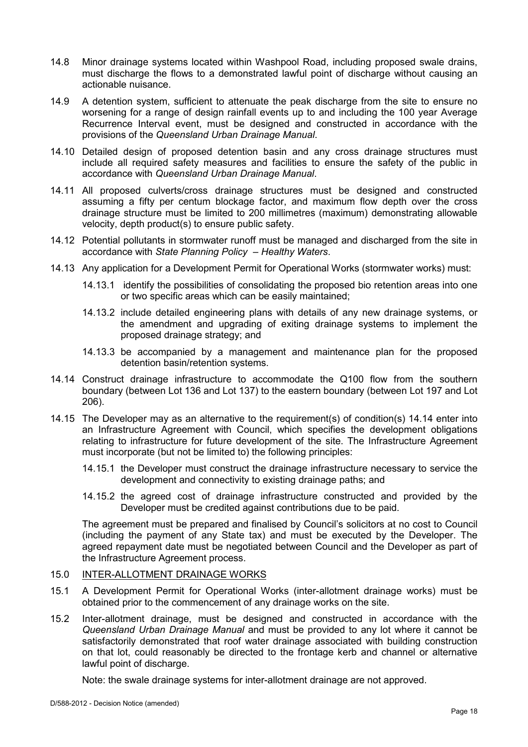- 14.8 Minor drainage systems located within Washpool Road, including proposed swale drains, must discharge the flows to a demonstrated lawful point of discharge without causing an actionable nuisance.
- 14.9 A detention system, sufficient to attenuate the peak discharge from the site to ensure no worsening for a range of design rainfall events up to and including the 100 year Average Recurrence Interval event, must be designed and constructed in accordance with the provisions of the *Queensland Urban Drainage Manual*.
- 14.10 Detailed design of proposed detention basin and any cross drainage structures must include all required safety measures and facilities to ensure the safety of the public in accordance with *Queensland Urban Drainage Manual*.
- 14.11 All proposed culverts/cross drainage structures must be designed and constructed assuming a fifty per centum blockage factor, and maximum flow depth over the cross drainage structure must be limited to 200 millimetres (maximum) demonstrating allowable velocity, depth product(s) to ensure public safety.
- 14.12 Potential pollutants in stormwater runoff must be managed and discharged from the site in accordance with *State Planning Policy – Healthy Waters*.
- 14.13 Any application for a Development Permit for Operational Works (stormwater works) must:
	- 14.13.1 identify the possibilities of consolidating the proposed bio retention areas into one or two specific areas which can be easily maintained;
	- 14.13.2 include detailed engineering plans with details of any new drainage systems, or the amendment and upgrading of exiting drainage systems to implement the proposed drainage strategy; and
	- 14.13.3 be accompanied by a management and maintenance plan for the proposed detention basin/retention systems.
- 14.14 Construct drainage infrastructure to accommodate the Q100 flow from the southern boundary (between Lot 136 and Lot 137) to the eastern boundary (between Lot 197 and Lot 206).
- 14.15 The Developer may as an alternative to the requirement(s) of condition(s) 14.14 enter into an Infrastructure Agreement with Council, which specifies the development obligations relating to infrastructure for future development of the site. The Infrastructure Agreement must incorporate (but not be limited to) the following principles:
	- 14.15.1 the Developer must construct the drainage infrastructure necessary to service the development and connectivity to existing drainage paths; and
	- 14.15.2 the agreed cost of drainage infrastructure constructed and provided by the Developer must be credited against contributions due to be paid.

The agreement must be prepared and finalised by Council's solicitors at no cost to Council (including the payment of any State tax) and must be executed by the Developer. The agreed repayment date must be negotiated between Council and the Developer as part of the Infrastructure Agreement process.

#### 15.0 INTER-ALLOTMENT DRAINAGE WORKS

- 15.1 A Development Permit for Operational Works (inter-allotment drainage works) must be obtained prior to the commencement of any drainage works on the site.
- 15.2 Inter-allotment drainage, must be designed and constructed in accordance with the *Queensland Urban Drainage Manual* and must be provided to any lot where it cannot be satisfactorily demonstrated that roof water drainage associated with building construction on that lot, could reasonably be directed to the frontage kerb and channel or alternative lawful point of discharge.

Note: the swale drainage systems for inter-allotment drainage are not approved.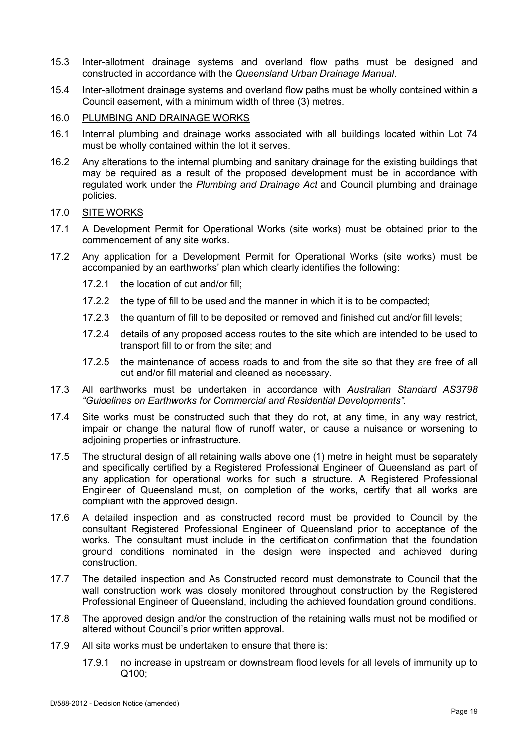- 15.3 Inter-allotment drainage systems and overland flow paths must be designed and constructed in accordance with the *Queensland Urban Drainage Manual*.
- 15.4 Inter-allotment drainage systems and overland flow paths must be wholly contained within a Council easement, with a minimum width of three (3) metres.
- 16.0 PLUMBING AND DRAINAGE WORKS
- 16.1 Internal plumbing and drainage works associated with all buildings located within Lot 74 must be wholly contained within the lot it serves.
- 16.2 Any alterations to the internal plumbing and sanitary drainage for the existing buildings that may be required as a result of the proposed development must be in accordance with regulated work under the *Plumbing and Drainage Act* and Council plumbing and drainage policies.

#### 17.0 SITE WORKS

- 17.1 A Development Permit for Operational Works (site works) must be obtained prior to the commencement of any site works.
- 17.2 Any application for a Development Permit for Operational Works (site works) must be accompanied by an earthworks' plan which clearly identifies the following:
	- 17.2.1 the location of cut and/or fill;
	- 17.2.2 the type of fill to be used and the manner in which it is to be compacted;
	- 17.2.3 the quantum of fill to be deposited or removed and finished cut and/or fill levels;
	- 17.2.4 details of any proposed access routes to the site which are intended to be used to transport fill to or from the site; and
	- 17.2.5 the maintenance of access roads to and from the site so that they are free of all cut and/or fill material and cleaned as necessary.
- 17.3 All earthworks must be undertaken in accordance with *Australian Standard AS3798 "Guidelines on Earthworks for Commercial and Residential Developments".*
- 17.4 Site works must be constructed such that they do not, at any time, in any way restrict, impair or change the natural flow of runoff water, or cause a nuisance or worsening to adjoining properties or infrastructure.
- 17.5 The structural design of all retaining walls above one (1) metre in height must be separately and specifically certified by a Registered Professional Engineer of Queensland as part of any application for operational works for such a structure. A Registered Professional Engineer of Queensland must, on completion of the works, certify that all works are compliant with the approved design.
- 17.6 A detailed inspection and as constructed record must be provided to Council by the consultant Registered Professional Engineer of Queensland prior to acceptance of the works. The consultant must include in the certification confirmation that the foundation ground conditions nominated in the design were inspected and achieved during construction.
- 17.7 The detailed inspection and As Constructed record must demonstrate to Council that the wall construction work was closely monitored throughout construction by the Registered Professional Engineer of Queensland, including the achieved foundation ground conditions.
- 17.8 The approved design and/or the construction of the retaining walls must not be modified or altered without Council's prior written approval.
- 17.9 All site works must be undertaken to ensure that there is:
	- 17.9.1 no increase in upstream or downstream flood levels for all levels of immunity up to Q100;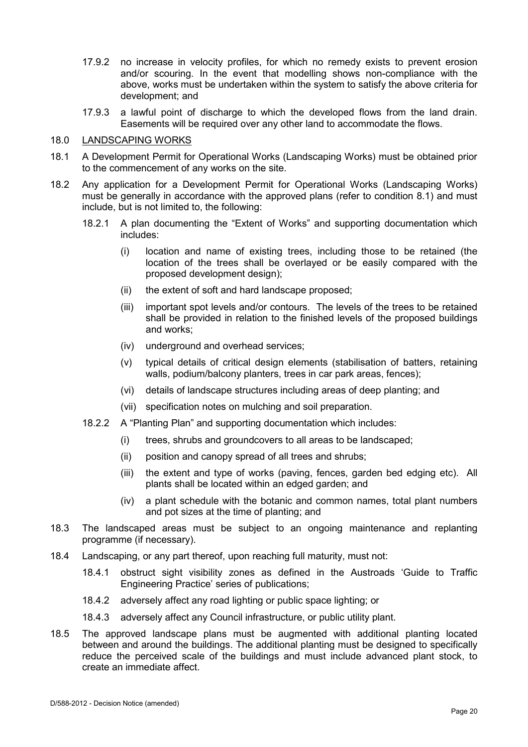- 17.9.2 no increase in velocity profiles, for which no remedy exists to prevent erosion and/or scouring. In the event that modelling shows non-compliance with the above, works must be undertaken within the system to satisfy the above criteria for development; and
- 17.9.3 a lawful point of discharge to which the developed flows from the land drain. Easements will be required over any other land to accommodate the flows.

#### 18.0 LANDSCAPING WORKS

- 18.1 A Development Permit for Operational Works (Landscaping Works) must be obtained prior to the commencement of any works on the site.
- 18.2 Any application for a Development Permit for Operational Works (Landscaping Works) must be generally in accordance with the approved plans (refer to condition 8.1) and must include, but is not limited to, the following:
	- 18.2.1 A plan documenting the "Extent of Works" and supporting documentation which includes:
		- (i) location and name of existing trees, including those to be retained (the location of the trees shall be overlayed or be easily compared with the proposed development design);
		- (ii) the extent of soft and hard landscape proposed;
		- (iii) important spot levels and/or contours. The levels of the trees to be retained shall be provided in relation to the finished levels of the proposed buildings and works;
		- (iv) underground and overhead services;
		- (v) typical details of critical design elements (stabilisation of batters, retaining walls, podium/balcony planters, trees in car park areas, fences);
		- (vi) details of landscape structures including areas of deep planting; and
		- (vii) specification notes on mulching and soil preparation.
	- 18.2.2 A "Planting Plan" and supporting documentation which includes:
		- (i) trees, shrubs and groundcovers to all areas to be landscaped;
		- (ii) position and canopy spread of all trees and shrubs;
		- (iii) the extent and type of works (paving, fences, garden bed edging etc). All plants shall be located within an edged garden; and
		- (iv) a plant schedule with the botanic and common names, total plant numbers and pot sizes at the time of planting; and
- 18.3 The landscaped areas must be subject to an ongoing maintenance and replanting programme (if necessary).
- 18.4 Landscaping, or any part thereof, upon reaching full maturity, must not:
	- 18.4.1 obstruct sight visibility zones as defined in the Austroads 'Guide to Traffic Engineering Practice' series of publications;
	- 18.4.2 adversely affect any road lighting or public space lighting; or
	- 18.4.3 adversely affect any Council infrastructure, or public utility plant.
- 18.5 The approved landscape plans must be augmented with additional planting located between and around the buildings. The additional planting must be designed to specifically reduce the perceived scale of the buildings and must include advanced plant stock, to create an immediate affect.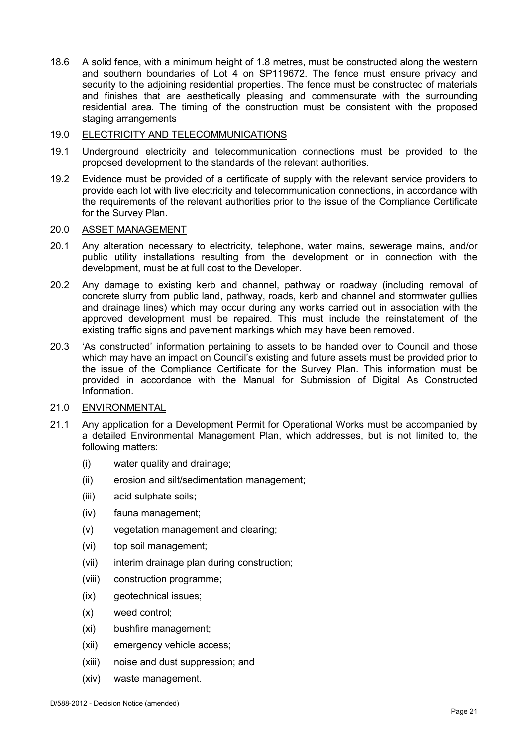18.6 A solid fence, with a minimum height of 1.8 metres, must be constructed along the western and southern boundaries of Lot 4 on SP119672. The fence must ensure privacy and security to the adjoining residential properties. The fence must be constructed of materials and finishes that are aesthetically pleasing and commensurate with the surrounding residential area. The timing of the construction must be consistent with the proposed staging arrangements

#### 19.0 ELECTRICITY AND TELECOMMUNICATIONS

- 19.1 Underground electricity and telecommunication connections must be provided to the proposed development to the standards of the relevant authorities.
- 19.2 Evidence must be provided of a certificate of supply with the relevant service providers to provide each lot with live electricity and telecommunication connections, in accordance with the requirements of the relevant authorities prior to the issue of the Compliance Certificate for the Survey Plan.

## 20.0 ASSET MANAGEMENT

- 20.1 Any alteration necessary to electricity, telephone, water mains, sewerage mains, and/or public utility installations resulting from the development or in connection with the development, must be at full cost to the Developer.
- 20.2 Any damage to existing kerb and channel, pathway or roadway (including removal of concrete slurry from public land, pathway, roads, kerb and channel and stormwater gullies and drainage lines) which may occur during any works carried out in association with the approved development must be repaired. This must include the reinstatement of the existing traffic signs and pavement markings which may have been removed.
- 20.3 'As constructed' information pertaining to assets to be handed over to Council and those which may have an impact on Council's existing and future assets must be provided prior to the issue of the Compliance Certificate for the Survey Plan. This information must be provided in accordance with the Manual for Submission of Digital As Constructed Information.

#### 21.0 ENVIRONMENTAL

- 21.1 Any application for a Development Permit for Operational Works must be accompanied by a detailed Environmental Management Plan, which addresses, but is not limited to, the following matters:
	- (i) water quality and drainage;
	- (ii) erosion and silt/sedimentation management;
	- (iii) acid sulphate soils;
	- (iv) fauna management;
	- (v) vegetation management and clearing;
	- (vi) top soil management;
	- (vii) interim drainage plan during construction;
	- (viii) construction programme;
	- (ix) geotechnical issues;
	- (x) weed control;
	- (xi) bushfire management;
	- (xii) emergency vehicle access;
	- (xiii) noise and dust suppression; and
	- (xiv) waste management.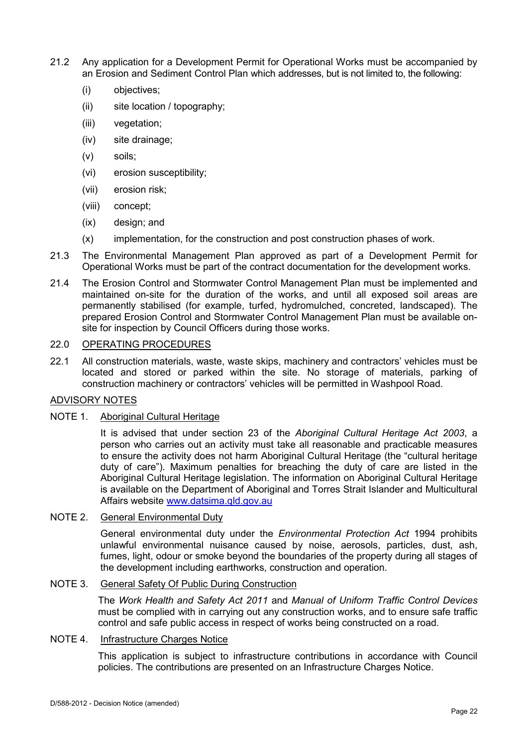- 21.2 Any application for a Development Permit for Operational Works must be accompanied by an Erosion and Sediment Control Plan which addresses, but is not limited to, the following:
	- (i) objectives;
	- (ii) site location / topography;
	- (iii) vegetation;
	- (iv) site drainage;
	- (v) soils;
	- (vi) erosion susceptibility;
	- (vii) erosion risk;
	- (viii) concept;
	- (ix) design; and
	- (x) implementation, for the construction and post construction phases of work.
- 21.3 The Environmental Management Plan approved as part of a Development Permit for Operational Works must be part of the contract documentation for the development works.
- 21.4 The Erosion Control and Stormwater Control Management Plan must be implemented and maintained on-site for the duration of the works, and until all exposed soil areas are permanently stabilised (for example, turfed, hydromulched, concreted, landscaped). The prepared Erosion Control and Stormwater Control Management Plan must be available onsite for inspection by Council Officers during those works.

## 22.0 OPERATING PROCEDURES

22.1 All construction materials, waste, waste skips, machinery and contractors' vehicles must be located and stored or parked within the site. No storage of materials, parking of construction machinery or contractors' vehicles will be permitted in Washpool Road.

#### ADVISORY NOTES

#### NOTE 1. Aboriginal Cultural Heritage

It is advised that under section 23 of the *Aboriginal Cultural Heritage Act 2003*, a person who carries out an activity must take all reasonable and practicable measures to ensure the activity does not harm Aboriginal Cultural Heritage (the "cultural heritage duty of care"). Maximum penalties for breaching the duty of care are listed in the Aboriginal Cultural Heritage legislation. The information on Aboriginal Cultural Heritage is available on the Department of Aboriginal and Torres Strait Islander and Multicultural Affairs website [www.datsima.qld.gov.au](http://www.datsima.qld.gov.au/)

#### NOTE 2. General Environmental Duty

General environmental duty under the *Environmental Protection Act* 1994 prohibits unlawful environmental nuisance caused by noise, aerosols, particles, dust, ash, fumes, light, odour or smoke beyond the boundaries of the property during all stages of the development including earthworks, construction and operation.

#### NOTE 3. General Safety Of Public During Construction

The *Work Health and Safety Act 2011* and *Manual of Uniform Traffic Control Devices* must be complied with in carrying out any construction works, and to ensure safe traffic control and safe public access in respect of works being constructed on a road.

### NOTE 4. Infrastructure Charges Notice

This application is subject to infrastructure contributions in accordance with Council policies. The contributions are presented on an Infrastructure Charges Notice.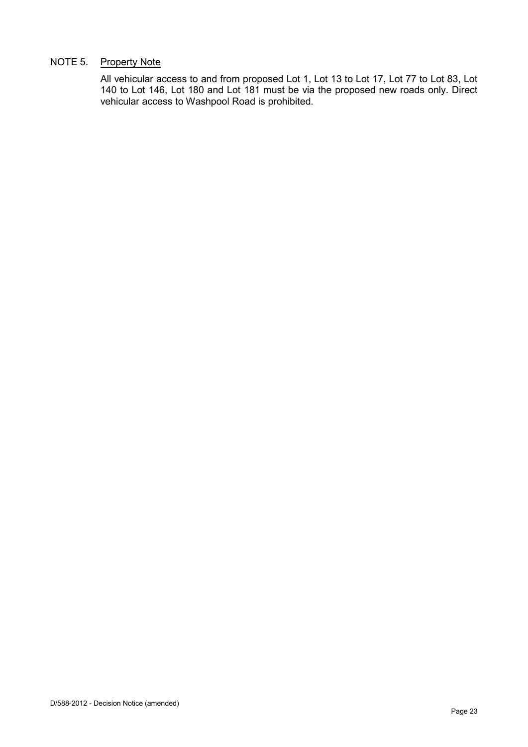# NOTE 5. Property Note

All vehicular access to and from proposed Lot 1, Lot 13 to Lot 17, Lot 77 to Lot 83, Lot 140 to Lot 146, Lot 180 and Lot 181 must be via the proposed new roads only. Direct vehicular access to Washpool Road is prohibited.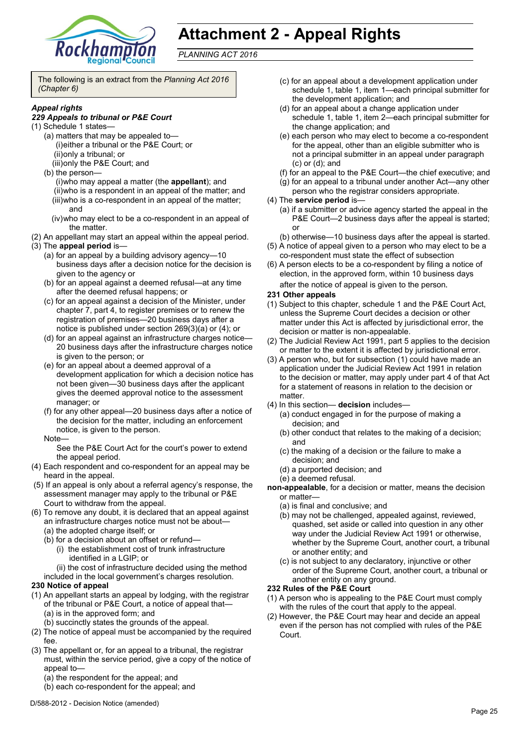

# **Attachment 2 - Appeal Rights**

*PLANNING ACT 2016*

The following is an extract from the *Planning Act 2016 (Chapter 6)*

#### *Appeal rights*

#### *229 Appeals to tribunal or P&E Court*

- (1) Schedule 1 states—
	- (a) matters that may be appealed to— (i)either a tribunal or the P&E Court; or (ii)only a tribunal; or
		- (iii)only the P&E Court; and
	- (b) the person—
		- (i)who may appeal a matter (the **appellant**); and (ii)who is a respondent in an appeal of the matter; and (iii)who is a co-respondent in an appeal of the matter; and
		- (iv)who may elect to be a co-respondent in an appeal of the matter.
- (2) An appellant may start an appeal within the appeal period.
- (3) The **appeal period** is—
	- (a) for an appeal by a building advisory agency—10 business days after a decision notice for the decision is given to the agency or
	- (b) for an appeal against a deemed refusal—at any time after the deemed refusal happens; or
	- (c) for an appeal against a decision of the Minister, under chapter 7, part 4, to register premises or to renew the registration of premises—20 business days after a notice is published under section 269(3)(a) or (4); or
	- (d) for an appeal against an infrastructure charges notice— 20 business days after the infrastructure charges notice is given to the person; or
	- (e) for an appeal about a deemed approval of a development application for which a decision notice has not been given—30 business days after the applicant gives the deemed approval notice to the assessment manager; or
	- (f) for any other appeal—20 business days after a notice of the decision for the matter, including an enforcement notice, is given to the person.
	- Note—

See the P&E Court Act for the court's power to extend the appeal period.

- (4) Each respondent and co-respondent for an appeal may be heard in the appeal.
- (5) If an appeal is only about a referral agency's response, the assessment manager may apply to the tribunal or P&E Court to withdraw from the appeal.
- (6) To remove any doubt, it is declared that an appeal against an infrastructure charges notice must not be about—
	- (a) the adopted charge itself; or
	- (b) for a decision about an offset or refund—
		- (i) the establishment cost of trunk infrastructure identified in a LGIP; or
		- (ii) the cost of infrastructure decided using the method
	- included in the local government's charges resolution.

#### **230 Notice of appeal**

- (1) An appellant starts an appeal by lodging, with the registrar of the tribunal or P&E Court, a notice of appeal that— (a) is in the approved form; and
	- (b) succinctly states the grounds of the appeal.
- (2) The notice of appeal must be accompanied by the required fee.
- (3) The appellant or, for an appeal to a tribunal, the registrar must, within the service period, give a copy of the notice of appeal to—
	- (a) the respondent for the appeal; and
	- (b) each co-respondent for the appeal; and
- (c) for an appeal about a development application under schedule 1, table 1, item 1—each principal submitter for the development application; and
- (d) for an appeal about a change application under schedule 1, table 1, item 2—each principal submitter for the change application; and
- (e) each person who may elect to become a co-respondent for the appeal, other than an eligible submitter who is not a principal submitter in an appeal under paragraph (c) or (d); and
- (f) for an appeal to the P&E Court—the chief executive; and
- (g) for an appeal to a tribunal under another Act—any other
- person who the registrar considers appropriate.
- (4) The **service period** is—
	- (a) if a submitter or advice agency started the appeal in the P&E Court-2 business days after the appeal is started; or
	- (b) otherwise—10 business days after the appeal is started.
- (5) A notice of appeal given to a person who may elect to be a co-respondent must state the effect of subsection
- (6) A person elects to be a co-respondent by filing a notice of election, in the approved form, within 10 business days after the notice of appeal is given to the person*.*

#### **231 Other appeals**

- (1) Subject to this chapter, schedule 1 and the P&E Court Act, unless the Supreme Court decides a decision or other matter under this Act is affected by jurisdictional error, the decision or matter is non-appealable.
- (2) The Judicial Review Act 1991, part 5 applies to the decision or matter to the extent it is affected by jurisdictional error.
- (3) A person who, but for subsection (1) could have made an application under the Judicial Review Act 1991 in relation to the decision or matter, may apply under part 4 of that Act for a statement of reasons in relation to the decision or matter.
- (4) In this section— **decision** includes—
	- (a) conduct engaged in for the purpose of making a decision; and
	- (b) other conduct that relates to the making of a decision; and
	- (c) the making of a decision or the failure to make a decision; and
	- (d) a purported decision; and
	- (e) a deemed refusal.
- **non-appealable**, for a decision or matter, means the decision or matter—
	- (a) is final and conclusive; and
	- (b) may not be challenged, appealed against, reviewed, quashed, set aside or called into question in any other way under the Judicial Review Act 1991 or otherwise, whether by the Supreme Court, another court, a tribunal or another entity; and
	- (c) is not subject to any declaratory, injunctive or other order of the Supreme Court, another court, a tribunal or another entity on any ground.

#### **232 Rules of the P&E Court**

- (1) A person who is appealing to the P&E Court must comply with the rules of the court that apply to the appeal.
- (2) However, the P&E Court may hear and decide an appeal even if the person has not complied with rules of the P&E Court.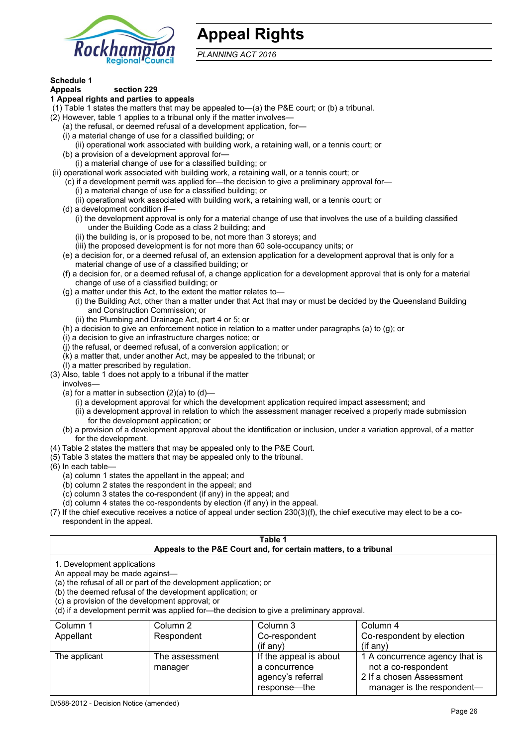

# **Appeal Rights**

*PLANNING ACT 2016*

# **Schedule 1**

#### **Appeals section 229 1 Appeal rights and parties to appeals**

- (1) Table 1 states the matters that may be appealed to—(a) the P&E court; or (b) a tribunal.
- (2) However, table 1 applies to a tribunal only if the matter involves—
	- (a) the refusal, or deemed refusal of a development application, for—
	- (i) a material change of use for a classified building; or
	- (ii) operational work associated with building work, a retaining wall, or a tennis court; or
	- (b) a provision of a development approval for—
	- (i) a material change of use for a classified building; or
- (ii) operational work associated with building work, a retaining wall, or a tennis court; or
	- (c) if a development permit was applied for—the decision to give a preliminary approval for—
		- (i) a material change of use for a classified building; or
		- (ii) operational work associated with building work, a retaining wall, or a tennis court; or
	- (d) a development condition if—
		- (i) the development approval is only for a material change of use that involves the use of a building classified under the Building Code as a class 2 building; and
		- (ii) the building is, or is proposed to be, not more than 3 storeys; and
		- (iii) the proposed development is for not more than 60 sole-occupancy units; or
	- (e) a decision for, or a deemed refusal of, an extension application for a development approval that is only for a material change of use of a classified building; or
	- (f) a decision for, or a deemed refusal of, a change application for a development approval that is only for a material change of use of a classified building; or
	- (g) a matter under this Act, to the extent the matter relates to—
		- (i) the Building Act, other than a matter under that Act that may or must be decided by the Queensland Building and Construction Commission; or
		- (ii) the Plumbing and Drainage Act, part 4 or 5; or
	- (h) a decision to give an enforcement notice in relation to a matter under paragraphs (a) to (g); or
	- (i) a decision to give an infrastructure charges notice; or
	- (j) the refusal, or deemed refusal, of a conversion application; or
	- (k) a matter that, under another Act, may be appealed to the tribunal; or
	- (l) a matter prescribed by regulation.
- (3) Also, table 1 does not apply to a tribunal if the matter
- involves—
	- (a) for a matter in subsection  $(2)(a)$  to  $(d)$ -
		- (i) a development approval for which the development application required impact assessment; and
		- (ii) a development approval in relation to which the assessment manager received a properly made submission for the development application; or
	- (b) a provision of a development approval about the identification or inclusion, under a variation approval, of a matter for the development.
- (4) Table 2 states the matters that may be appealed only to the P&E Court.
- (5) Table 3 states the matters that may be appealed only to the tribunal.
- (6) In each table—
	- (a) column 1 states the appellant in the appeal; and
	- (b) column 2 states the respondent in the appeal; and
	- (c) column 3 states the co-respondent (if any) in the appeal; and
	- (d) column 4 states the co-respondents by election (if any) in the appeal.
- (7) If the chief executive receives a notice of appeal under section 230(3)(f), the chief executive may elect to be a corespondent in the appeal.

| Table 1<br>Appeals to the P&E Court and, for certain matters, to a tribunal                                      |                                                                                                                                |                                                                                          |                                |
|------------------------------------------------------------------------------------------------------------------|--------------------------------------------------------------------------------------------------------------------------------|------------------------------------------------------------------------------------------|--------------------------------|
| 1. Development applications<br>An appeal may be made against-<br>(c) a provision of the development approval; or | (a) the refusal of all or part of the development application; or<br>(b) the deemed refusal of the development application; or | (d) if a development permit was applied for—the decision to give a preliminary approval. |                                |
| Column 1                                                                                                         | Column 2                                                                                                                       | Column 3                                                                                 | Column 4                       |
| Appellant                                                                                                        | Respondent                                                                                                                     | Co-respondent                                                                            | Co-respondent by election      |
|                                                                                                                  |                                                                                                                                | (if any)                                                                                 | $(i$ f any)                    |
| The applicant                                                                                                    | The assessment                                                                                                                 | If the appeal is about                                                                   | 1 A concurrence agency that is |
|                                                                                                                  | manager                                                                                                                        | a concurrence                                                                            | not a co-respondent            |
|                                                                                                                  |                                                                                                                                | agency's referral                                                                        | 2 If a chosen Assessment       |
|                                                                                                                  |                                                                                                                                | response-the                                                                             | manager is the respondent—     |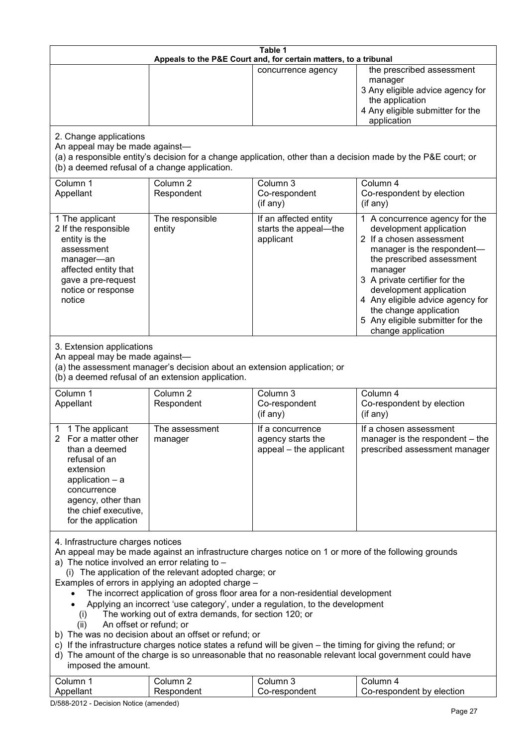| Table 1<br>Appeals to the P&E Court and, for certain matters, to a tribunal                                                                                                                                                                                                                                                                                                                                                                                                                                                                                                                                                                                                                                                                                                                                                                                                                                                                 |                                                                                                                               |                                                                 |                                                                                                                                                                                                                                                                                                                                                 |  |
|---------------------------------------------------------------------------------------------------------------------------------------------------------------------------------------------------------------------------------------------------------------------------------------------------------------------------------------------------------------------------------------------------------------------------------------------------------------------------------------------------------------------------------------------------------------------------------------------------------------------------------------------------------------------------------------------------------------------------------------------------------------------------------------------------------------------------------------------------------------------------------------------------------------------------------------------|-------------------------------------------------------------------------------------------------------------------------------|-----------------------------------------------------------------|-------------------------------------------------------------------------------------------------------------------------------------------------------------------------------------------------------------------------------------------------------------------------------------------------------------------------------------------------|--|
|                                                                                                                                                                                                                                                                                                                                                                                                                                                                                                                                                                                                                                                                                                                                                                                                                                                                                                                                             |                                                                                                                               | concurrence agency                                              | the prescribed assessment<br>manager<br>3 Any eligible advice agency for<br>the application<br>4 Any eligible submitter for the<br>application                                                                                                                                                                                                  |  |
| 2. Change applications<br>An appeal may be made against-<br>(a) a responsible entity's decision for a change application, other than a decision made by the P&E court; or<br>(b) a deemed refusal of a change application.                                                                                                                                                                                                                                                                                                                                                                                                                                                                                                                                                                                                                                                                                                                  |                                                                                                                               |                                                                 |                                                                                                                                                                                                                                                                                                                                                 |  |
| Column 1<br>Appellant                                                                                                                                                                                                                                                                                                                                                                                                                                                                                                                                                                                                                                                                                                                                                                                                                                                                                                                       | Column <sub>2</sub><br>Respondent                                                                                             | Column 3<br>Co-respondent<br>(if any)                           | Column 4<br>Co-respondent by election<br>(if any)                                                                                                                                                                                                                                                                                               |  |
| 1 The applicant<br>2 If the responsible<br>entity is the<br>assessment<br>manager-an<br>affected entity that<br>gave a pre-request<br>notice or response<br>notice                                                                                                                                                                                                                                                                                                                                                                                                                                                                                                                                                                                                                                                                                                                                                                          | The responsible<br>entity                                                                                                     | If an affected entity<br>starts the appeal-the<br>applicant     | 1 A concurrence agency for the<br>development application<br>2 If a chosen assessment<br>manager is the respondent-<br>the prescribed assessment<br>manager<br>3 A private certifier for the<br>development application<br>4 Any eligible advice agency for<br>the change application<br>5 Any eligible submitter for the<br>change application |  |
| 3. Extension applications<br>An appeal may be made against-                                                                                                                                                                                                                                                                                                                                                                                                                                                                                                                                                                                                                                                                                                                                                                                                                                                                                 | (a) the assessment manager's decision about an extension application; or<br>(b) a deemed refusal of an extension application. |                                                                 |                                                                                                                                                                                                                                                                                                                                                 |  |
| Column 1<br>Appellant                                                                                                                                                                                                                                                                                                                                                                                                                                                                                                                                                                                                                                                                                                                                                                                                                                                                                                                       | Column <sub>2</sub><br>Respondent                                                                                             | Column 3<br>Co-respondent<br>(if any)                           | Column 4<br>Co-respondent by election<br>(if any)                                                                                                                                                                                                                                                                                               |  |
| 1 The applicant<br>2 For a matter other<br>than a deemed<br>refusal of an<br>extension<br>application $-$ a<br>concurrence<br>agency, other than<br>the chief executive,<br>for the application                                                                                                                                                                                                                                                                                                                                                                                                                                                                                                                                                                                                                                                                                                                                             | The assessment<br>manager                                                                                                     | If a concurrence<br>agency starts the<br>appeal – the applicant | If a chosen assessment<br>manager is the respondent - the<br>prescribed assessment manager                                                                                                                                                                                                                                                      |  |
| 4. Infrastructure charges notices<br>An appeal may be made against an infrastructure charges notice on 1 or more of the following grounds<br>a) The notice involved an error relating to $-$<br>(i) The application of the relevant adopted charge; or<br>Examples of errors in applying an adopted charge -<br>The incorrect application of gross floor area for a non-residential development<br>Applying an incorrect 'use category', under a regulation, to the development<br>The working out of extra demands, for section 120; or<br>(i)<br>An offset or refund; or<br>(ii)<br>b) The was no decision about an offset or refund; or<br>c) If the infrastructure charges notice states a refund will be given – the timing for giving the refund; or<br>d) The amount of the charge is so unreasonable that no reasonable relevant local government could have<br>imposed the amount.<br>Column 3<br>Column 1<br>Column 2<br>Column 4 |                                                                                                                               |                                                                 |                                                                                                                                                                                                                                                                                                                                                 |  |
| Appellant                                                                                                                                                                                                                                                                                                                                                                                                                                                                                                                                                                                                                                                                                                                                                                                                                                                                                                                                   | Respondent                                                                                                                    | Co-respondent                                                   | Co-respondent by election                                                                                                                                                                                                                                                                                                                       |  |

D/588-2012 - Decision Notice (amended)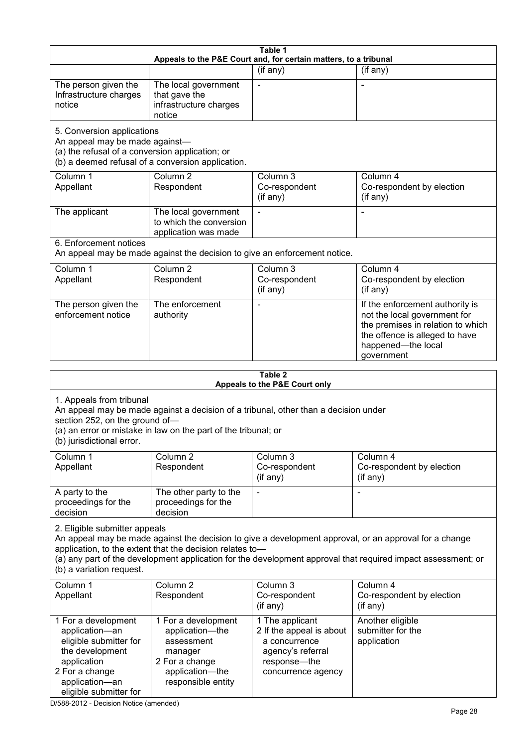| Table 1<br>Appeals to the P&E Court and, for certain matters, to a tribunal                                                                                                                                                                                                                                                                     |                                                                                                                                                       |                                                                                                                         |                                                                                                                                                                            |  |
|-------------------------------------------------------------------------------------------------------------------------------------------------------------------------------------------------------------------------------------------------------------------------------------------------------------------------------------------------|-------------------------------------------------------------------------------------------------------------------------------------------------------|-------------------------------------------------------------------------------------------------------------------------|----------------------------------------------------------------------------------------------------------------------------------------------------------------------------|--|
|                                                                                                                                                                                                                                                                                                                                                 |                                                                                                                                                       | (if any)                                                                                                                | (if any)                                                                                                                                                                   |  |
| The person given the<br>Infrastructure charges<br>notice                                                                                                                                                                                                                                                                                        | The local government<br>that gave the<br>infrastructure charges<br>notice                                                                             |                                                                                                                         |                                                                                                                                                                            |  |
| 5. Conversion applications<br>An appeal may be made against-<br>(a) the refusal of a conversion application; or<br>(b) a deemed refusal of a conversion application.                                                                                                                                                                            |                                                                                                                                                       |                                                                                                                         |                                                                                                                                                                            |  |
| Column 1<br>Appellant                                                                                                                                                                                                                                                                                                                           | Column <sub>2</sub><br>Respondent                                                                                                                     | Column 3<br>Co-respondent<br>(if any)                                                                                   | Column 4<br>Co-respondent by election<br>(if any)                                                                                                                          |  |
| The applicant                                                                                                                                                                                                                                                                                                                                   | The local government<br>to which the conversion<br>application was made                                                                               |                                                                                                                         |                                                                                                                                                                            |  |
| 6. Enforcement notices                                                                                                                                                                                                                                                                                                                          | An appeal may be made against the decision to give an enforcement notice.                                                                             |                                                                                                                         |                                                                                                                                                                            |  |
| Column 1<br>Appellant                                                                                                                                                                                                                                                                                                                           | Column <sub>2</sub><br>Respondent                                                                                                                     | Column 3<br>Co-respondent<br>(if any)                                                                                   | Column 4<br>Co-respondent by election<br>(if any)                                                                                                                          |  |
| The person given the<br>enforcement notice                                                                                                                                                                                                                                                                                                      | The enforcement<br>authority                                                                                                                          |                                                                                                                         | If the enforcement authority is<br>not the local government for<br>the premises in relation to which<br>the offence is alleged to have<br>happened-the local<br>government |  |
|                                                                                                                                                                                                                                                                                                                                                 |                                                                                                                                                       | Table 2                                                                                                                 |                                                                                                                                                                            |  |
| Appeals to the P&E Court only                                                                                                                                                                                                                                                                                                                   |                                                                                                                                                       |                                                                                                                         |                                                                                                                                                                            |  |
| 1. Appeals from tribunal<br>section 252, on the ground of-<br>(b) jurisdictional error.                                                                                                                                                                                                                                                         | An appeal may be made against a decision of a tribunal, other than a decision under<br>(a) an error or mistake in law on the part of the tribunal; or |                                                                                                                         |                                                                                                                                                                            |  |
| Column 1<br>Appellant                                                                                                                                                                                                                                                                                                                           | Column 2<br>Respondent                                                                                                                                | Column 3<br>Co-respondent<br>(if any)                                                                                   | Column 4<br>Co-respondent by election<br>(if any)                                                                                                                          |  |
| A party to the<br>proceedings for the<br>decision                                                                                                                                                                                                                                                                                               | The other party to the<br>proceedings for the<br>decision                                                                                             |                                                                                                                         | $\overline{a}$                                                                                                                                                             |  |
| 2. Eligible submitter appeals<br>An appeal may be made against the decision to give a development approval, or an approval for a change<br>application, to the extent that the decision relates to-<br>(a) any part of the development application for the development approval that required impact assessment; or<br>(b) a variation request. |                                                                                                                                                       |                                                                                                                         |                                                                                                                                                                            |  |
| Column 1<br>Appellant                                                                                                                                                                                                                                                                                                                           | Column <sub>2</sub><br>Respondent                                                                                                                     | Column 3<br>Co-respondent<br>(if any)                                                                                   | Column 4<br>Co-respondent by election<br>(if any)                                                                                                                          |  |
| 1 For a development<br>application-an<br>eligible submitter for<br>the development<br>application<br>2 For a change<br>application-an<br>eligible submitter for                                                                                                                                                                                 | 1 For a development<br>application-the<br>assessment<br>manager<br>2 For a change<br>application-the<br>responsible entity                            | 1 The applicant<br>2 If the appeal is about<br>a concurrence<br>agency's referral<br>response-the<br>concurrence agency | Another eligible<br>submitter for the<br>application                                                                                                                       |  |

D/588-2012 - Decision Notice (amended)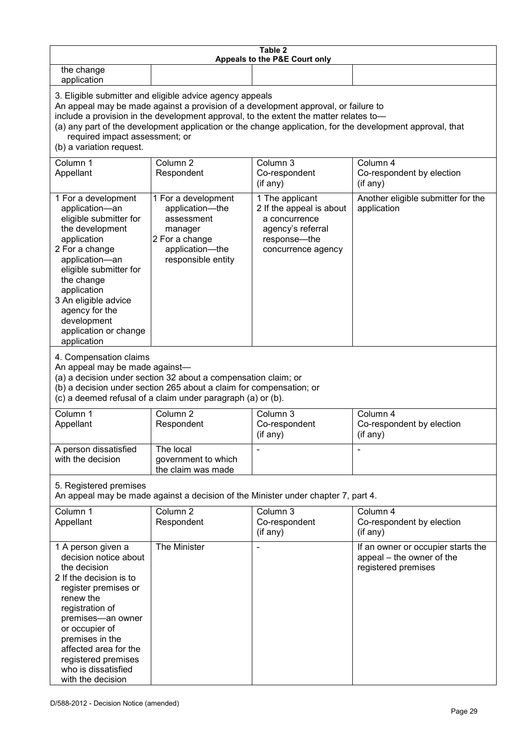| Table 2<br>Appeals to the P&E Court only                                                                                                                                                                                                                                                                                                                                                                           |                                                                                                                                                                                                      |                                                                                                                         |                                                                                        |
|--------------------------------------------------------------------------------------------------------------------------------------------------------------------------------------------------------------------------------------------------------------------------------------------------------------------------------------------------------------------------------------------------------------------|------------------------------------------------------------------------------------------------------------------------------------------------------------------------------------------------------|-------------------------------------------------------------------------------------------------------------------------|----------------------------------------------------------------------------------------|
| the change<br>application                                                                                                                                                                                                                                                                                                                                                                                          |                                                                                                                                                                                                      |                                                                                                                         |                                                                                        |
| 3. Eligible submitter and eligible advice agency appeals<br>An appeal may be made against a provision of a development approval, or failure to<br>include a provision in the development approval, to the extent the matter relates to-<br>(a) any part of the development application or the change application, for the development approval, that<br>required impact assessment; or<br>(b) a variation request. |                                                                                                                                                                                                      |                                                                                                                         |                                                                                        |
| Column 1<br>Appellant                                                                                                                                                                                                                                                                                                                                                                                              | Column <sub>2</sub><br>Respondent                                                                                                                                                                    | Column 3<br>Co-respondent<br>(if any)                                                                                   | Column 4<br>Co-respondent by election<br>(if any)                                      |
| 1 For a development<br>application-an<br>eligible submitter for<br>the development<br>application<br>2 For a change<br>application-an<br>eligible submitter for<br>the change<br>application<br>3 An eligible advice<br>agency for the<br>development<br>application or change<br>application                                                                                                                      | 1 For a development<br>application-the<br>assessment<br>manager<br>2 For a change<br>application-the<br>responsible entity                                                                           | 1 The applicant<br>2 If the appeal is about<br>a concurrence<br>agency's referral<br>response-the<br>concurrence agency | Another eligible submitter for the<br>application                                      |
| 4. Compensation claims<br>An appeal may be made against-                                                                                                                                                                                                                                                                                                                                                           | (a) a decision under section 32 about a compensation claim; or<br>(b) a decision under section 265 about a claim for compensation; or<br>(c) a deemed refusal of a claim under paragraph (a) or (b). |                                                                                                                         |                                                                                        |
| Column 1<br>Appellant                                                                                                                                                                                                                                                                                                                                                                                              | Column <sub>2</sub><br>Respondent                                                                                                                                                                    | Column <sub>3</sub><br>Co-respondent<br>(if any)                                                                        | Column 4<br>Co-respondent by election<br>(if any)                                      |
| A person dissatisfied<br>with the decision                                                                                                                                                                                                                                                                                                                                                                         | The local<br>government to which<br>the claim was made                                                                                                                                               |                                                                                                                         |                                                                                        |
| 5. Registered premises                                                                                                                                                                                                                                                                                                                                                                                             |                                                                                                                                                                                                      | An appeal may be made against a decision of the Minister under chapter 7, part 4.                                       |                                                                                        |
| Column 1<br>Appellant                                                                                                                                                                                                                                                                                                                                                                                              | Column <sub>2</sub><br>Respondent                                                                                                                                                                    | Column 3<br>Co-respondent<br>(if any)                                                                                   | Column 4<br>Co-respondent by election<br>(if any)                                      |
| 1 A person given a<br>decision notice about<br>the decision<br>2 If the decision is to<br>register premises or<br>renew the<br>registration of<br>premises-an owner<br>or occupier of<br>premises in the<br>affected area for the<br>registered premises<br>who is dissatisfied<br>with the decision                                                                                                               | The Minister                                                                                                                                                                                         |                                                                                                                         | If an owner or occupier starts the<br>appeal – the owner of the<br>registered premises |